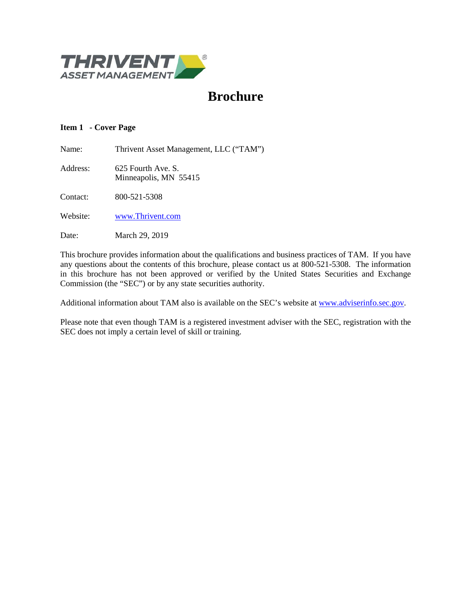

# **Brochure**

# <span id="page-0-0"></span>**Item 1 - Cover Page**

Name: Thrivent Asset Management, LLC ("TAM")

Address: 625 Fourth Ave. S. Minneapolis, MN 55415

Contact: 800-521-5308

Website: [www.Thrivent.com](http://www.thrivent.com/)

Date: March 29, 2019

This brochure provides information about the qualifications and business practices of TAM. If you have any questions about the contents of this brochure, please contact us at 800-521-5308. The information in this brochure has not been approved or verified by the United States Securities and Exchange Commission (the "SEC") or by any state securities authority.

Additional information about TAM also is available on the SEC's website at [www.adviserinfo.sec.gov.](http://www.adviserinfo.sec.gov/)

Please note that even though TAM is a registered investment adviser with the SEC, registration with the SEC does not imply a certain level of skill or training.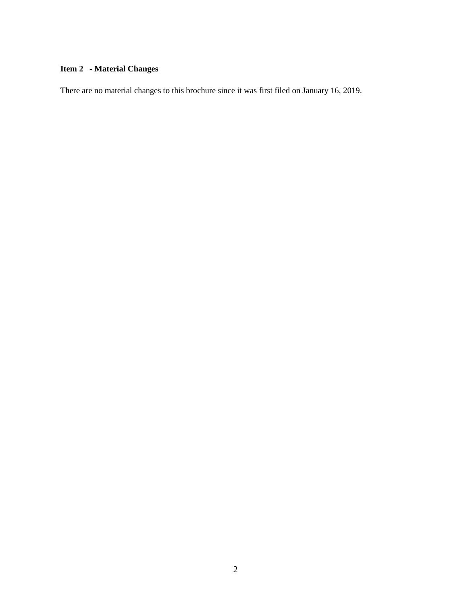# <span id="page-1-0"></span>**Item 2 - Material Changes**

There are no material changes to this brochure since it was first filed on January 16, 2019.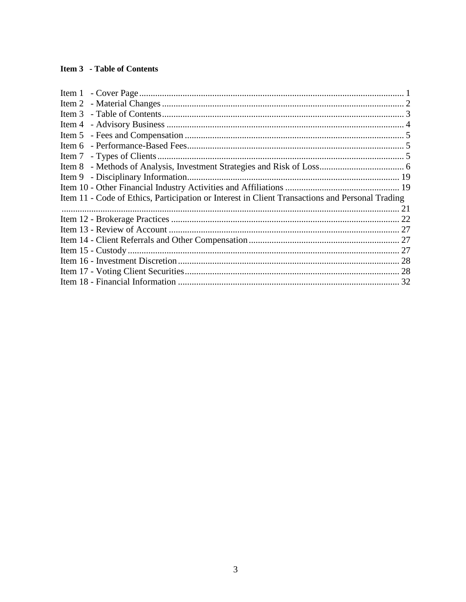# <span id="page-2-0"></span>**Item 3 - Table of Contents**

| Item 9 - Disciplinary Information                                                               |  |
|-------------------------------------------------------------------------------------------------|--|
|                                                                                                 |  |
| Item 11 - Code of Ethics, Participation or Interest in Client Transactions and Personal Trading |  |
|                                                                                                 |  |
|                                                                                                 |  |
|                                                                                                 |  |
|                                                                                                 |  |
|                                                                                                 |  |
|                                                                                                 |  |
|                                                                                                 |  |
|                                                                                                 |  |
|                                                                                                 |  |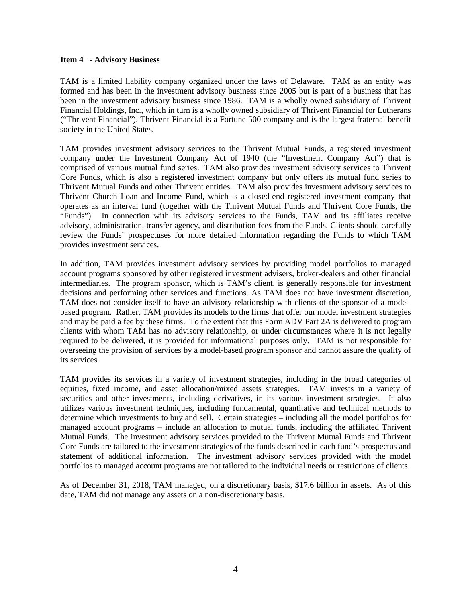#### <span id="page-3-0"></span>**Item 4 - Advisory Business**

TAM is a limited liability company organized under the laws of Delaware. TAM as an entity was formed and has been in the investment advisory business since 2005 but is part of a business that has been in the investment advisory business since 1986. TAM is a wholly owned subsidiary of Thrivent Financial Holdings, Inc., which in turn is a wholly owned subsidiary of Thrivent Financial for Lutherans ("Thrivent Financial"). Thrivent Financial is a Fortune 500 company and is the largest fraternal benefit society in the United States.

TAM provides investment advisory services to the Thrivent Mutual Funds, a registered investment company under the Investment Company Act of 1940 (the "Investment Company Act") that is comprised of various mutual fund series. TAM also provides investment advisory services to Thrivent Core Funds, which is also a registered investment company but only offers its mutual fund series to Thrivent Mutual Funds and other Thrivent entities. TAM also provides investment advisory services to Thrivent Church Loan and Income Fund, which is a closed-end registered investment company that operates as an interval fund (together with the Thrivent Mutual Funds and Thrivent Core Funds, the "Funds"). In connection with its advisory services to the Funds, TAM and its affiliates receive advisory, administration, transfer agency, and distribution fees from the Funds. Clients should carefully review the Funds' prospectuses for more detailed information regarding the Funds to which TAM provides investment services.

In addition, TAM provides investment advisory services by providing model portfolios to managed account programs sponsored by other registered investment advisers, broker-dealers and other financial intermediaries. The program sponsor, which is TAM's client, is generally responsible for investment decisions and performing other services and functions. As TAM does not have investment discretion, TAM does not consider itself to have an advisory relationship with clients of the sponsor of a modelbased program. Rather, TAM provides its models to the firms that offer our model investment strategies and may be paid a fee by these firms. To the extent that this Form ADV Part 2A is delivered to program clients with whom TAM has no advisory relationship, or under circumstances where it is not legally required to be delivered, it is provided for informational purposes only. TAM is not responsible for overseeing the provision of services by a model-based program sponsor and cannot assure the quality of its services.

TAM provides its services in a variety of investment strategies, including in the broad categories of equities, fixed income, and asset allocation/mixed assets strategies. TAM invests in a variety of securities and other investments, including derivatives, in its various investment strategies. It also utilizes various investment techniques, including fundamental, quantitative and technical methods to determine which investments to buy and sell. Certain strategies – including all the model portfolios for managed account programs – include an allocation to mutual funds, including the affiliated Thrivent Mutual Funds. The investment advisory services provided to the Thrivent Mutual Funds and Thrivent Core Funds are tailored to the investment strategies of the funds described in each fund's prospectus and statement of additional information. The investment advisory services provided with the model portfolios to managed account programs are not tailored to the individual needs or restrictions of clients.

As of December 31, 2018, TAM managed, on a discretionary basis, \$17.6 billion in assets. As of this date, TAM did not manage any assets on a non-discretionary basis.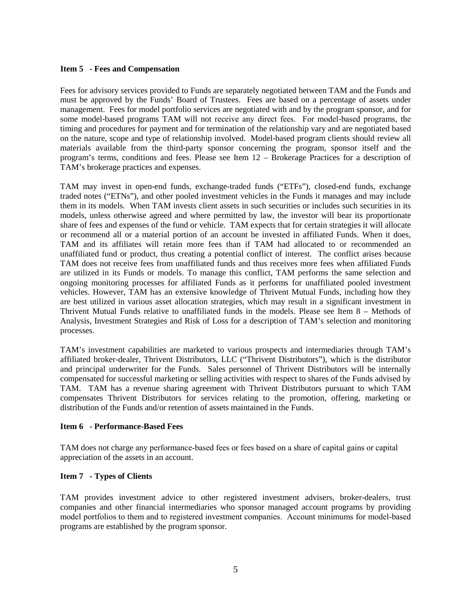# <span id="page-4-0"></span>**Item 5 - Fees and Compensation**

Fees for advisory services provided to Funds are separately negotiated between TAM and the Funds and must be approved by the Funds' Board of Trustees. Fees are based on a percentage of assets under management. Fees for model portfolio services are negotiated with and by the program sponsor, and for some model-based programs TAM will not receive any direct fees. For model-based programs, the timing and procedures for payment and for termination of the relationship vary and are negotiated based on the nature, scope and type of relationship involved. Model-based program clients should review all materials available from the third-party sponsor concerning the program, sponsor itself and the program's terms, conditions and fees. Please see Item 12 – Brokerage Practices for a description of TAM's brokerage practices and expenses.

TAM may invest in open-end funds, exchange-traded funds ("ETFs"), closed-end funds, exchange traded notes ("ETNs"), and other pooled investment vehicles in the Funds it manages and may include them in its models. When TAM invests client assets in such securities or includes such securities in its models, unless otherwise agreed and where permitted by law, the investor will bear its proportionate share of fees and expenses of the fund or vehicle. TAM expects that for certain strategies it will allocate or recommend all or a material portion of an account be invested in affiliated Funds. When it does, TAM and its affiliates will retain more fees than if TAM had allocated to or recommended an unaffiliated fund or product, thus creating a potential conflict of interest. The conflict arises because TAM does not receive fees from unaffiliated funds and thus receives more fees when affiliated Funds are utilized in its Funds or models. To manage this conflict, TAM performs the same selection and ongoing monitoring processes for affiliated Funds as it performs for unaffiliated pooled investment vehicles. However, TAM has an extensive knowledge of Thrivent Mutual Funds, including how they are best utilized in various asset allocation strategies, which may result in a significant investment in Thrivent Mutual Funds relative to unaffiliated funds in the models. Please see Item 8 – Methods of Analysis, Investment Strategies and Risk of Loss for a description of TAM's selection and monitoring processes.

TAM's investment capabilities are marketed to various prospects and intermediaries through TAM's affiliated broker-dealer, Thrivent Distributors, LLC ("Thrivent Distributors"), which is the distributor and principal underwriter for the Funds. Sales personnel of Thrivent Distributors will be internally compensated for successful marketing or selling activities with respect to shares of the Funds advised by TAM. TAM has a revenue sharing agreement with Thrivent Distributors pursuant to which TAM compensates Thrivent Distributors for services relating to the promotion, offering, marketing or distribution of the Funds and/or retention of assets maintained in the Funds.

# <span id="page-4-1"></span>**Item 6 - Performance-Based Fees**

TAM does not charge any performance‐based fees or fees based on a share of capital gains or capital appreciation of the assets in an account.

# <span id="page-4-2"></span>**Item 7 - Types of Clients**

TAM provides investment advice to other registered investment advisers, broker-dealers, trust companies and other financial intermediaries who sponsor managed account programs by providing model portfolios to them and to registered investment companies. Account minimums for model-based programs are established by the program sponsor.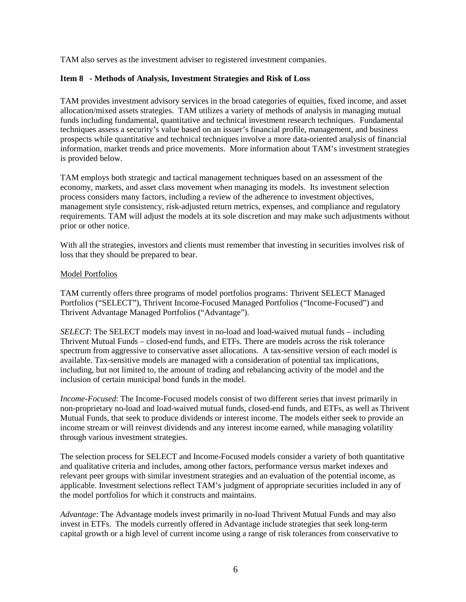<span id="page-5-0"></span>TAM also serves as the investment adviser to registered investment companies.

#### **Item 8 - Methods of Analysis, Investment Strategies and Risk of Loss**

TAM provides investment advisory services in the broad categories of equities, fixed income, and asset allocation/mixed assets strategies. TAM utilizes a variety of methods of analysis in managing mutual funds including fundamental, quantitative and technical investment research techniques. Fundamental techniques assess a security's value based on an issuer's financial profile, management, and business prospects while quantitative and technical techniques involve a more data-oriented analysis of financial information, market trends and price movements. More information about TAM's investment strategies is provided below.

TAM employs both strategic and tactical management techniques based on an assessment of the economy, markets, and asset class movement when managing its models. Its investment selection process considers many factors, including a review of the adherence to investment objectives, management style consistency, risk-adjusted return metrics, expenses, and compliance and regulatory requirements. TAM will adjust the models at its sole discretion and may make such adjustments without prior or other notice.

With all the strategies, investors and clients must remember that investing in securities involves risk of loss that they should be prepared to bear.

#### Model Portfolios

TAM currently offers three programs of model portfolios programs: Thrivent SELECT Managed Portfolios ("SELECT"), Thrivent Income-Focused Managed Portfolios ("Income-Focused") and Thrivent Advantage Managed Portfolios ("Advantage").

*SELECT*: The SELECT models may invest in no-load and load-waived mutual funds – including Thrivent Mutual Funds – closed-end funds, and ETFs. There are models across the risk tolerance spectrum from aggressive to conservative asset allocations. A tax-sensitive version of each model is available. Tax-sensitive models are managed with a consideration of potential tax implications, including, but not limited to, the amount of trading and rebalancing activity of the model and the inclusion of certain municipal bond funds in the model.

*Income-Focused*: The Income-Focused models consist of two different series that invest primarily in non-proprietary no-load and load-waived mutual funds, closed-end funds, and ETFs, as well as Thrivent Mutual Funds, that seek to produce dividends or interest income. The models either seek to provide an income stream or will reinvest dividends and any interest income earned, while managing volatility through various investment strategies.

The selection process for SELECT and Income-Focused models consider a variety of both quantitative and qualitative criteria and includes, among other factors, performance versus market indexes and relevant peer groups with similar investment strategies and an evaluation of the potential income, as applicable. Investment selections reflect TAM's judgment of appropriate securities included in any of the model portfolios for which it constructs and maintains.

*Advantage*: The Advantage models invest primarily in no-load Thrivent Mutual Funds and may also invest in ETFs. The models currently offered in Advantage include strategies that seek long-term capital growth or a high level of current income using a range of risk tolerances from conservative to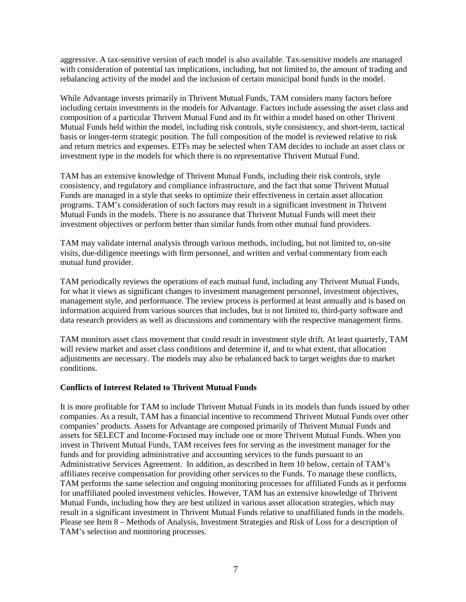aggressive. A tax-sensitive version of each model is also available. Tax-sensitive models are managed with consideration of potential tax implications, including, but not limited to, the amount of trading and rebalancing activity of the model and the inclusion of certain municipal bond funds in the model.

While Advantage invests primarily in Thrivent Mutual Funds, TAM considers many factors before including certain investments in the models for Advantage. Factors include assessing the asset class and composition of a particular Thrivent Mutual Fund and its fit within a model based on other Thrivent Mutual Funds held within the model, including risk controls, style consistency, and short-term, tactical basis or longer-term strategic position. The full composition of the model is reviewed relative to risk and return metrics and expenses. ETFs may be selected when TAM decides to include an asset class or investment type in the models for which there is no representative Thrivent Mutual Fund.

TAM has an extensive knowledge of Thrivent Mutual Funds, including their risk controls, style consistency, and regulatory and compliance infrastructure, and the fact that some Thrivent Mutual Funds are managed in a style that seeks to optimize their effectiveness in certain asset allocation programs. TAM's consideration of such factors may result in a significant investment in Thrivent Mutual Funds in the models. There is no assurance that Thrivent Mutual Funds will meet their investment objectives or perform better than similar funds from other mutual fund providers.

TAM may validate internal analysis through various methods, including, but not limited to, on-site visits, due-diligence meetings with firm personnel, and written and verbal commentary from each mutual fund provider.

TAM periodically reviews the operations of each mutual fund, including any Thrivent Mutual Funds, for what it views as significant changes to investment management personnel, investment objectives, management style, and performance. The review process is performed at least annually and is based on information acquired from various sources that includes, but is not limited to, third-party software and data research providers as well as discussions and commentary with the respective management firms.

TAM monitors asset class movement that could result in investment style drift. At least quarterly, TAM will review market and asset class conditions and determine if, and to what extent, that allocation adjustments are necessary. The models may also be rebalanced back to target weights due to market conditions.

# **Conflicts of Interest Related to Thrivent Mutual Funds**

It is more profitable for TAM to include Thrivent Mutual Funds in its models than funds issued by other companies. As a result, TAM has a financial incentive to recommend Thrivent Mutual Funds over other companies' products. Assets for Advantage are composed primarily of Thrivent Mutual Funds and assets for SELECT and Income-Focused may include one or more Thrivent Mutual Funds. When you invest in Thrivent Mutual Funds, TAM receives fees for serving as the investment manager for the funds and for providing administrative and accounting services to the funds pursuant to an Administrative Services Agreement. In addition, as described in Item 10 below, certain of TAM's affiliates receive compensation for providing other services to the Funds. To manage these conflicts, TAM performs the same selection and ongoing monitoring processes for affiliated Funds as it performs for unaffiliated pooled investment vehicles. However, TAM has an extensive knowledge of Thrivent Mutual Funds, including how they are best utilized in various asset allocation strategies, which may result in a significant investment in Thrivent Mutual Funds relative to unaffiliated funds in the models. Please see Item 8 – Methods of Analysis, Investment Strategies and Risk of Loss for a description of TAM's selection and monitoring processes.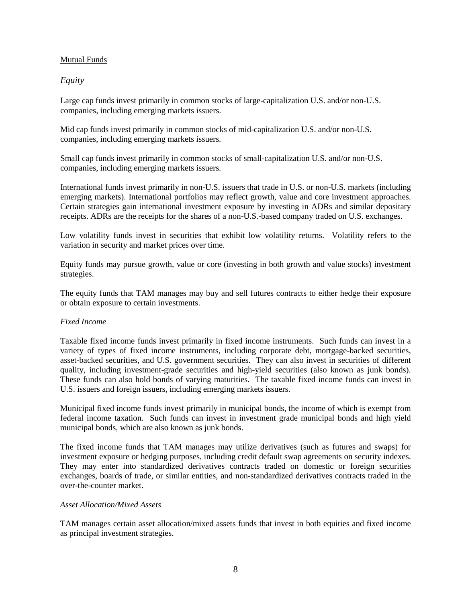# Mutual Funds

# *Equity*

Large cap funds invest primarily in common stocks of large-capitalization U.S. and/or non-U.S. companies, including emerging markets issuers.

Mid cap funds invest primarily in common stocks of mid-capitalization U.S. and/or non-U.S. companies, including emerging markets issuers.

Small cap funds invest primarily in common stocks of small-capitalization U.S. and/or non-U.S. companies, including emerging markets issuers.

International funds invest primarily in non-U.S. issuers that trade in U.S. or non-U.S. markets (including emerging markets). International portfolios may reflect growth, value and core investment approaches. Certain strategies gain international investment exposure by investing in ADRs and similar depositary receipts. ADRs are the receipts for the shares of a non-U.S.-based company traded on U.S. exchanges.

Low volatility funds invest in securities that exhibit low volatility returns. Volatility refers to the variation in security and market prices over time.

Equity funds may pursue growth, value or core (investing in both growth and value stocks) investment strategies.

The equity funds that TAM manages may buy and sell futures contracts to either hedge their exposure or obtain exposure to certain investments.

# *Fixed Income*

Taxable fixed income funds invest primarily in fixed income instruments. Such funds can invest in a variety of types of fixed income instruments, including corporate debt, mortgage-backed securities, asset-backed securities, and U.S. government securities. They can also invest in securities of different quality, including investment-grade securities and high-yield securities (also known as junk bonds). These funds can also hold bonds of varying maturities. The taxable fixed income funds can invest in U.S. issuers and foreign issuers, including emerging markets issuers.

Municipal fixed income funds invest primarily in municipal bonds, the income of which is exempt from federal income taxation. Such funds can invest in investment grade municipal bonds and high yield municipal bonds, which are also known as junk bonds.

The fixed income funds that TAM manages may utilize derivatives (such as futures and swaps) for investment exposure or hedging purposes, including credit default swap agreements on security indexes. They may enter into standardized derivatives contracts traded on domestic or foreign securities exchanges, boards of trade, or similar entities, and non-standardized derivatives contracts traded in the over-the-counter market.

# *Asset Allocation/Mixed Assets*

TAM manages certain asset allocation/mixed assets funds that invest in both equities and fixed income as principal investment strategies.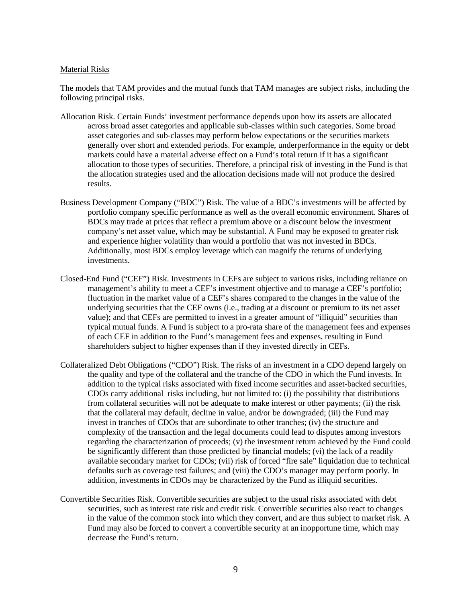#### Material Risks

The models that TAM provides and the mutual funds that TAM manages are subject risks, including the following principal risks.

- Allocation Risk. Certain Funds' investment performance depends upon how its assets are allocated across broad asset categories and applicable sub-classes within such categories. Some broad asset categories and sub-classes may perform below expectations or the securities markets generally over short and extended periods. For example, underperformance in the equity or debt markets could have a material adverse effect on a Fund's total return if it has a significant allocation to those types of securities. Therefore, a principal risk of investing in the Fund is that the allocation strategies used and the allocation decisions made will not produce the desired results.
- Business Development Company ("BDC") Risk. The value of a BDC's investments will be affected by portfolio company specific performance as well as the overall economic environment. Shares of BDCs may trade at prices that reflect a premium above or a discount below the investment company's net asset value, which may be substantial. A Fund may be exposed to greater risk and experience higher volatility than would a portfolio that was not invested in BDCs. Additionally, most BDCs employ leverage which can magnify the returns of underlying investments.
- Closed-End Fund ("CEF") Risk. Investments in CEFs are subject to various risks, including reliance on management's ability to meet a CEF's investment objective and to manage a CEF's portfolio; fluctuation in the market value of a CEF's shares compared to the changes in the value of the underlying securities that the CEF owns (i.e., trading at a discount or premium to its net asset value); and that CEFs are permitted to invest in a greater amount of "illiquid" securities than typical mutual funds. A Fund is subject to a pro-rata share of the management fees and expenses of each CEF in addition to the Fund's management fees and expenses, resulting in Fund shareholders subject to higher expenses than if they invested directly in CEFs.
- Collateralized Debt Obligations ("CDO") Risk. The risks of an investment in a CDO depend largely on the quality and type of the collateral and the tranche of the CDO in which the Fund invests. In addition to the typical risks associated with fixed income securities and asset-backed securities, CDOs carry additional risks including, but not limited to: (i) the possibility that distributions from collateral securities will not be adequate to make interest or other payments; (ii) the risk that the collateral may default, decline in value, and/or be downgraded; (iii) the Fund may invest in tranches of CDOs that are subordinate to other tranches; (iv) the structure and complexity of the transaction and the legal documents could lead to disputes among investors regarding the characterization of proceeds; (v) the investment return achieved by the Fund could be significantly different than those predicted by financial models; (vi) the lack of a readily available secondary market for CDOs; (vii) risk of forced "fire sale" liquidation due to technical defaults such as coverage test failures; and (viii) the CDO's manager may perform poorly. In addition, investments in CDOs may be characterized by the Fund as illiquid securities.
- Convertible Securities Risk. Convertible securities are subject to the usual risks associated with debt securities, such as interest rate risk and credit risk. Convertible securities also react to changes in the value of the common stock into which they convert, and are thus subject to market risk. A Fund may also be forced to convert a convertible security at an inopportune time, which may decrease the Fund's return.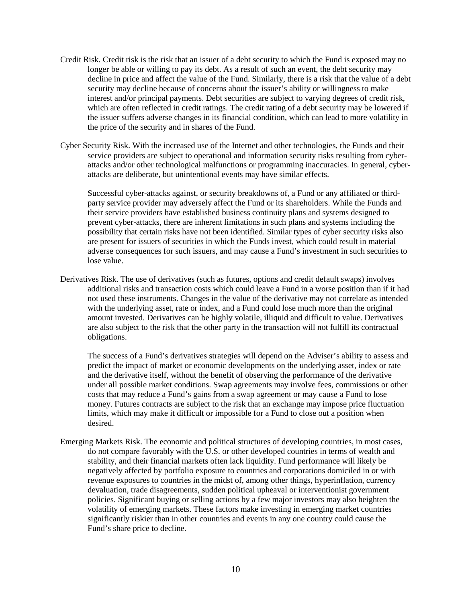- Credit Risk. Credit risk is the risk that an issuer of a debt security to which the Fund is exposed may no longer be able or willing to pay its debt. As a result of such an event, the debt security may decline in price and affect the value of the Fund. Similarly, there is a risk that the value of a debt security may decline because of concerns about the issuer's ability or willingness to make interest and/or principal payments. Debt securities are subject to varying degrees of credit risk, which are often reflected in credit ratings. The credit rating of a debt security may be lowered if the issuer suffers adverse changes in its financial condition, which can lead to more volatility in the price of the security and in shares of the Fund.
- Cyber Security Risk. With the increased use of the Internet and other technologies, the Funds and their service providers are subject to operational and information security risks resulting from cyberattacks and/or other technological malfunctions or programming inaccuracies. In general, cyberattacks are deliberate, but unintentional events may have similar effects.

Successful cyber-attacks against, or security breakdowns of, a Fund or any affiliated or thirdparty service provider may adversely affect the Fund or its shareholders. While the Funds and their service providers have established business continuity plans and systems designed to prevent cyber-attacks, there are inherent limitations in such plans and systems including the possibility that certain risks have not been identified. Similar types of cyber security risks also are present for issuers of securities in which the Funds invest, which could result in material adverse consequences for such issuers, and may cause a Fund's investment in such securities to lose value.

Derivatives Risk. The use of derivatives (such as futures, options and credit default swaps) involves additional risks and transaction costs which could leave a Fund in a worse position than if it had not used these instruments. Changes in the value of the derivative may not correlate as intended with the underlying asset, rate or index, and a Fund could lose much more than the original amount invested. Derivatives can be highly volatile, illiquid and difficult to value. Derivatives are also subject to the risk that the other party in the transaction will not fulfill its contractual obligations.

The success of a Fund's derivatives strategies will depend on the Adviser's ability to assess and predict the impact of market or economic developments on the underlying asset, index or rate and the derivative itself, without the benefit of observing the performance of the derivative under all possible market conditions. Swap agreements may involve fees, commissions or other costs that may reduce a Fund's gains from a swap agreement or may cause a Fund to lose money. Futures contracts are subject to the risk that an exchange may impose price fluctuation limits, which may make it difficult or impossible for a Fund to close out a position when desired.

Emerging Markets Risk. The economic and political structures of developing countries, in most cases, do not compare favorably with the U.S. or other developed countries in terms of wealth and stability, and their financial markets often lack liquidity. Fund performance will likely be negatively affected by portfolio exposure to countries and corporations domiciled in or with revenue exposures to countries in the midst of, among other things, hyperinflation, currency devaluation, trade disagreements, sudden political upheaval or interventionist government policies. Significant buying or selling actions by a few major investors may also heighten the volatility of emerging markets. These factors make investing in emerging market countries significantly riskier than in other countries and events in any one country could cause the Fund's share price to decline.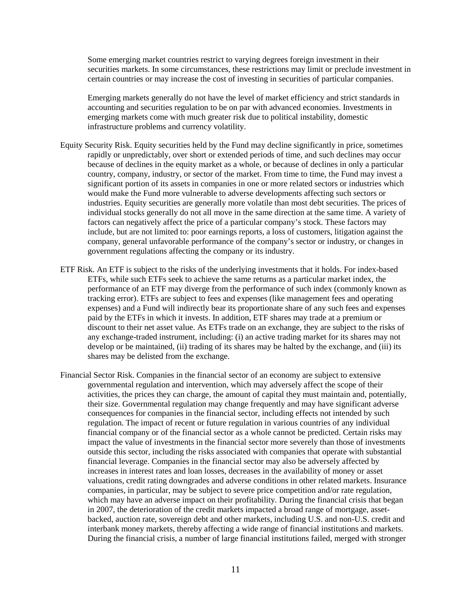Some emerging market countries restrict to varying degrees foreign investment in their securities markets. In some circumstances, these restrictions may limit or preclude investment in certain countries or may increase the cost of investing in securities of particular companies.

Emerging markets generally do not have the level of market efficiency and strict standards in accounting and securities regulation to be on par with advanced economies. Investments in emerging markets come with much greater risk due to political instability, domestic infrastructure problems and currency volatility.

- Equity Security Risk. Equity securities held by the Fund may decline significantly in price, sometimes rapidly or unpredictably, over short or extended periods of time, and such declines may occur because of declines in the equity market as a whole, or because of declines in only a particular country, company, industry, or sector of the market. From time to time, the Fund may invest a significant portion of its assets in companies in one or more related sectors or industries which would make the Fund more vulnerable to adverse developments affecting such sectors or industries. Equity securities are generally more volatile than most debt securities. The prices of individual stocks generally do not all move in the same direction at the same time. A variety of factors can negatively affect the price of a particular company's stock. These factors may include, but are not limited to: poor earnings reports, a loss of customers, litigation against the company, general unfavorable performance of the company's sector or industry, or changes in government regulations affecting the company or its industry.
- ETF Risk. An ETF is subject to the risks of the underlying investments that it holds. For index-based ETFs, while such ETFs seek to achieve the same returns as a particular market index, the performance of an ETF may diverge from the performance of such index (commonly known as tracking error). ETFs are subject to fees and expenses (like management fees and operating expenses) and a Fund will indirectly bear its proportionate share of any such fees and expenses paid by the ETFs in which it invests. In addition, ETF shares may trade at a premium or discount to their net asset value. As ETFs trade on an exchange, they are subject to the risks of any exchange-traded instrument, including: (i) an active trading market for its shares may not develop or be maintained, (ii) trading of its shares may be halted by the exchange, and (iii) its shares may be delisted from the exchange.
- Financial Sector Risk. Companies in the financial sector of an economy are subject to extensive governmental regulation and intervention, which may adversely affect the scope of their activities, the prices they can charge, the amount of capital they must maintain and, potentially, their size. Governmental regulation may change frequently and may have significant adverse consequences for companies in the financial sector, including effects not intended by such regulation. The impact of recent or future regulation in various countries of any individual financial company or of the financial sector as a whole cannot be predicted. Certain risks may impact the value of investments in the financial sector more severely than those of investments outside this sector, including the risks associated with companies that operate with substantial financial leverage. Companies in the financial sector may also be adversely affected by increases in interest rates and loan losses, decreases in the availability of money or asset valuations, credit rating downgrades and adverse conditions in other related markets. Insurance companies, in particular, may be subject to severe price competition and/or rate regulation, which may have an adverse impact on their profitability. During the financial crisis that began in 2007, the deterioration of the credit markets impacted a broad range of mortgage, assetbacked, auction rate, sovereign debt and other markets, including U.S. and non-U.S. credit and interbank money markets, thereby affecting a wide range of financial institutions and markets. During the financial crisis, a number of large financial institutions failed, merged with stronger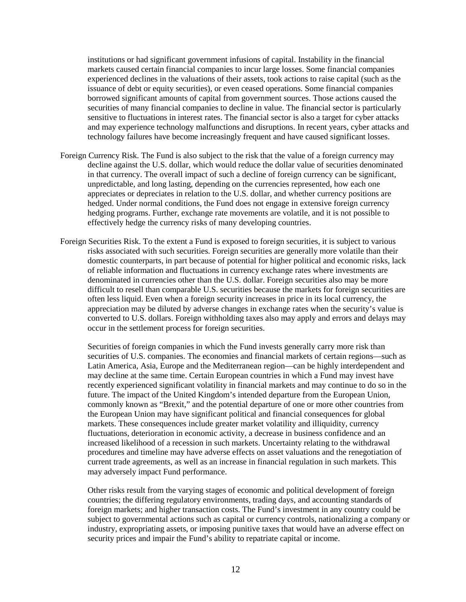institutions or had significant government infusions of capital. Instability in the financial markets caused certain financial companies to incur large losses. Some financial companies experienced declines in the valuations of their assets, took actions to raise capital (such as the issuance of debt or equity securities), or even ceased operations. Some financial companies borrowed significant amounts of capital from government sources. Those actions caused the securities of many financial companies to decline in value. The financial sector is particularly sensitive to fluctuations in interest rates. The financial sector is also a target for cyber attacks and may experience technology malfunctions and disruptions. In recent years, cyber attacks and technology failures have become increasingly frequent and have caused significant losses.

- Foreign Currency Risk. The Fund is also subject to the risk that the value of a foreign currency may decline against the U.S. dollar, which would reduce the dollar value of securities denominated in that currency. The overall impact of such a decline of foreign currency can be significant, unpredictable, and long lasting, depending on the currencies represented, how each one appreciates or depreciates in relation to the U.S. dollar, and whether currency positions are hedged. Under normal conditions, the Fund does not engage in extensive foreign currency hedging programs. Further, exchange rate movements are volatile, and it is not possible to effectively hedge the currency risks of many developing countries.
- Foreign Securities Risk. To the extent a Fund is exposed to foreign securities, it is subject to various risks associated with such securities. Foreign securities are generally more volatile than their domestic counterparts, in part because of potential for higher political and economic risks, lack of reliable information and fluctuations in currency exchange rates where investments are denominated in currencies other than the U.S. dollar. Foreign securities also may be more difficult to resell than comparable U.S. securities because the markets for foreign securities are often less liquid. Even when a foreign security increases in price in its local currency, the appreciation may be diluted by adverse changes in exchange rates when the security's value is converted to U.S. dollars. Foreign withholding taxes also may apply and errors and delays may occur in the settlement process for foreign securities.

Securities of foreign companies in which the Fund invests generally carry more risk than securities of U.S. companies. The economies and financial markets of certain regions—such as Latin America, Asia, Europe and the Mediterranean region—can be highly interdependent and may decline at the same time. Certain European countries in which a Fund may invest have recently experienced significant volatility in financial markets and may continue to do so in the future. The impact of the United Kingdom's intended departure from the European Union, commonly known as "Brexit," and the potential departure of one or more other countries from the European Union may have significant political and financial consequences for global markets. These consequences include greater market volatility and illiquidity, currency fluctuations, deterioration in economic activity, a decrease in business confidence and an increased likelihood of a recession in such markets. Uncertainty relating to the withdrawal procedures and timeline may have adverse effects on asset valuations and the renegotiation of current trade agreements, as well as an increase in financial regulation in such markets. This may adversely impact Fund performance.

Other risks result from the varying stages of economic and political development of foreign countries; the differing regulatory environments, trading days, and accounting standards of foreign markets; and higher transaction costs. The Fund's investment in any country could be subject to governmental actions such as capital or currency controls, nationalizing a company or industry, expropriating assets, or imposing punitive taxes that would have an adverse effect on security prices and impair the Fund's ability to repatriate capital or income.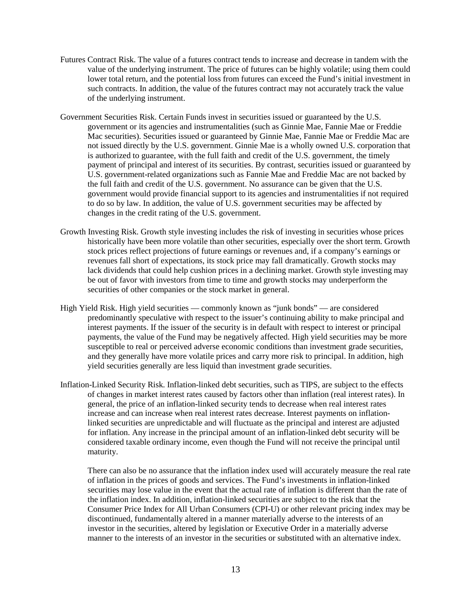- Futures Contract Risk. The value of a futures contract tends to increase and decrease in tandem with the value of the underlying instrument. The price of futures can be highly volatile; using them could lower total return, and the potential loss from futures can exceed the Fund's initial investment in such contracts. In addition, the value of the futures contract may not accurately track the value of the underlying instrument.
- Government Securities Risk. Certain Funds invest in securities issued or guaranteed by the U.S. government or its agencies and instrumentalities (such as Ginnie Mae, Fannie Mae or Freddie Mac securities). Securities issued or guaranteed by Ginnie Mae, Fannie Mae or Freddie Mac are not issued directly by the U.S. government. Ginnie Mae is a wholly owned U.S. corporation that is authorized to guarantee, with the full faith and credit of the U.S. government, the timely payment of principal and interest of its securities. By contrast, securities issued or guaranteed by U.S. government-related organizations such as Fannie Mae and Freddie Mac are not backed by the full faith and credit of the U.S. government. No assurance can be given that the U.S. government would provide financial support to its agencies and instrumentalities if not required to do so by law. In addition, the value of U.S. government securities may be affected by changes in the credit rating of the U.S. government.
- Growth Investing Risk. Growth style investing includes the risk of investing in securities whose prices historically have been more volatile than other securities, especially over the short term. Growth stock prices reflect projections of future earnings or revenues and, if a company's earnings or revenues fall short of expectations, its stock price may fall dramatically. Growth stocks may lack dividends that could help cushion prices in a declining market. Growth style investing may be out of favor with investors from time to time and growth stocks may underperform the securities of other companies or the stock market in general.
- High Yield Risk. High yield securities commonly known as "junk bonds" are considered predominantly speculative with respect to the issuer's continuing ability to make principal and interest payments. If the issuer of the security is in default with respect to interest or principal payments, the value of the Fund may be negatively affected. High yield securities may be more susceptible to real or perceived adverse economic conditions than investment grade securities, and they generally have more volatile prices and carry more risk to principal. In addition, high yield securities generally are less liquid than investment grade securities.
- Inflation-Linked Security Risk. Inflation-linked debt securities, such as TIPS, are subject to the effects of changes in market interest rates caused by factors other than inflation (real interest rates). In general, the price of an inflation-linked security tends to decrease when real interest rates increase and can increase when real interest rates decrease. Interest payments on inflationlinked securities are unpredictable and will fluctuate as the principal and interest are adjusted for inflation. Any increase in the principal amount of an inflation-linked debt security will be considered taxable ordinary income, even though the Fund will not receive the principal until maturity.

There can also be no assurance that the inflation index used will accurately measure the real rate of inflation in the prices of goods and services. The Fund's investments in inflation-linked securities may lose value in the event that the actual rate of inflation is different than the rate of the inflation index. In addition, inflation-linked securities are subject to the risk that the Consumer Price Index for All Urban Consumers (CPI-U) or other relevant pricing index may be discontinued, fundamentally altered in a manner materially adverse to the interests of an investor in the securities, altered by legislation or Executive Order in a materially adverse manner to the interests of an investor in the securities or substituted with an alternative index.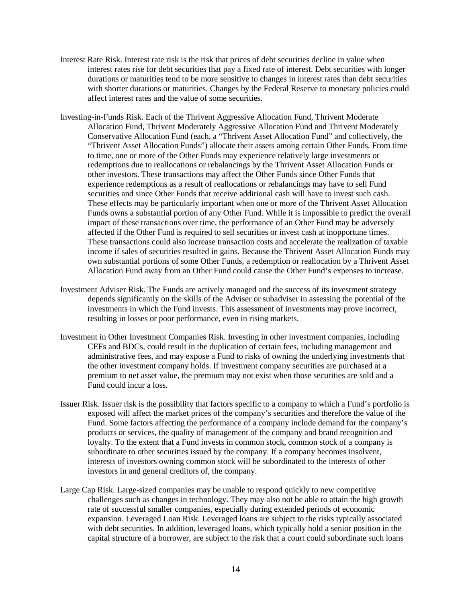- Interest Rate Risk. Interest rate risk is the risk that prices of debt securities decline in value when interest rates rise for debt securities that pay a fixed rate of interest. Debt securities with longer durations or maturities tend to be more sensitive to changes in interest rates than debt securities with shorter durations or maturities. Changes by the Federal Reserve to monetary policies could affect interest rates and the value of some securities.
- Investing-in-Funds Risk. Each of the Thrivent Aggressive Allocation Fund, Thrivent Moderate Allocation Fund, Thrivent Moderately Aggressive Allocation Fund and Thrivent Moderately Conservative Allocation Fund (each, a "Thrivent Asset Allocation Fund" and collectively, the "Thrivent Asset Allocation Funds") allocate their assets among certain Other Funds. From time to time, one or more of the Other Funds may experience relatively large investments or redemptions due to reallocations or rebalancings by the Thrivent Asset Allocation Funds or other investors. These transactions may affect the Other Funds since Other Funds that experience redemptions as a result of reallocations or rebalancings may have to sell Fund securities and since Other Funds that receive additional cash will have to invest such cash. These effects may be particularly important when one or more of the Thrivent Asset Allocation Funds owns a substantial portion of any Other Fund. While it is impossible to predict the overall impact of these transactions over time, the performance of an Other Fund may be adversely affected if the Other Fund is required to sell securities or invest cash at inopportune times. These transactions could also increase transaction costs and accelerate the realization of taxable income if sales of securities resulted in gains. Because the Thrivent Asset Allocation Funds may own substantial portions of some Other Funds, a redemption or reallocation by a Thrivent Asset Allocation Fund away from an Other Fund could cause the Other Fund's expenses to increase.
- Investment Adviser Risk. The Funds are actively managed and the success of its investment strategy depends significantly on the skills of the Adviser or subadviser in assessing the potential of the investments in which the Fund invests. This assessment of investments may prove incorrect, resulting in losses or poor performance, even in rising markets.
- Investment in Other Investment Companies Risk. Investing in other investment companies, including CEFs and BDCs, could result in the duplication of certain fees, including management and administrative fees, and may expose a Fund to risks of owning the underlying investments that the other investment company holds. If investment company securities are purchased at a premium to net asset value, the premium may not exist when those securities are sold and a Fund could incur a loss.
- Issuer Risk. Issuer risk is the possibility that factors specific to a company to which a Fund's portfolio is exposed will affect the market prices of the company's securities and therefore the value of the Fund. Some factors affecting the performance of a company include demand for the company's products or services, the quality of management of the company and brand recognition and loyalty. To the extent that a Fund invests in common stock, common stock of a company is subordinate to other securities issued by the company. If a company becomes insolvent, interests of investors owning common stock will be subordinated to the interests of other investors in and general creditors of, the company.
- Large Cap Risk. Large-sized companies may be unable to respond quickly to new competitive challenges such as changes in technology. They may also not be able to attain the high growth rate of successful smaller companies, especially during extended periods of economic expansion. Leveraged Loan Risk. Leveraged loans are subject to the risks typically associated with debt securities. In addition, leveraged loans, which typically hold a senior position in the capital structure of a borrower, are subject to the risk that a court could subordinate such loans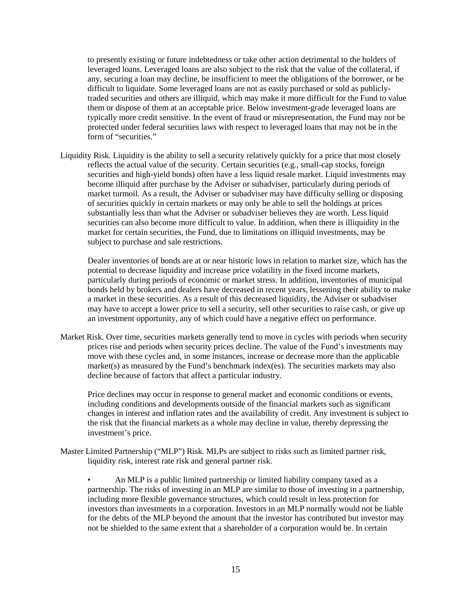to presently existing or future indebtedness or take other action detrimental to the holders of leveraged loans. Leveraged loans are also subject to the risk that the value of the collateral, if any, securing a loan may decline, be insufficient to meet the obligations of the borrower, or be difficult to liquidate. Some leveraged loans are not as easily purchased or sold as publiclytraded securities and others are illiquid, which may make it more difficult for the Fund to value them or dispose of them at an acceptable price. Below investment-grade leveraged loans are typically more credit sensitive. In the event of fraud or misrepresentation, the Fund may not be protected under federal securities laws with respect to leveraged loans that may not be in the form of "securities."

Liquidity Risk. Liquidity is the ability to sell a security relatively quickly for a price that most closely reflects the actual value of the security. Certain securities (e.g., small-cap stocks, foreign securities and high-yield bonds) often have a less liquid resale market. Liquid investments may become illiquid after purchase by the Adviser or subadviser, particularly during periods of market turmoil. As a result, the Adviser or subadviser may have difficulty selling or disposing of securities quickly in certain markets or may only be able to sell the holdings at prices substantially less than what the Adviser or subadviser believes they are worth. Less liquid securities can also become more difficult to value. In addition, when there is illiquidity in the market for certain securities, the Fund, due to limitations on illiquid investments, may be subject to purchase and sale restrictions.

Dealer inventories of bonds are at or near historic lows in relation to market size, which has the potential to decrease liquidity and increase price volatility in the fixed income markets, particularly during periods of economic or market stress. In addition, inventories of municipal bonds held by brokers and dealers have decreased in recent years, lessening their ability to make a market in these securities. As a result of this decreased liquidity, the Adviser or subadviser may have to accept a lower price to sell a security, sell other securities to raise cash, or give up an investment opportunity, any of which could have a negative effect on performance.

Market Risk. Over time, securities markets generally tend to move in cycles with periods when security prices rise and periods when security prices decline. The value of the Fund's investments may move with these cycles and, in some instances, increase or decrease more than the applicable market(s) as measured by the Fund's benchmark index(es). The securities markets may also decline because of factors that affect a particular industry.

Price declines may occur in response to general market and economic conditions or events, including conditions and developments outside of the financial markets such as significant changes in interest and inflation rates and the availability of credit. Any investment is subject to the risk that the financial markets as a whole may decline in value, thereby depressing the investment's price.

Master Limited Partnership ("MLP") Risk. MLPs are subject to risks such as limited partner risk, liquidity risk, interest rate risk and general partner risk.

• An MLP is a public limited partnership or limited liability company taxed as a partnership. The risks of investing in an MLP are similar to those of investing in a partnership, including more flexible governance structures, which could result in less protection for investors than investments in a corporation. Investors in an MLP normally would not be liable for the debts of the MLP beyond the amount that the investor has contributed but investor may not be shielded to the same extent that a shareholder of a corporation would be. In certain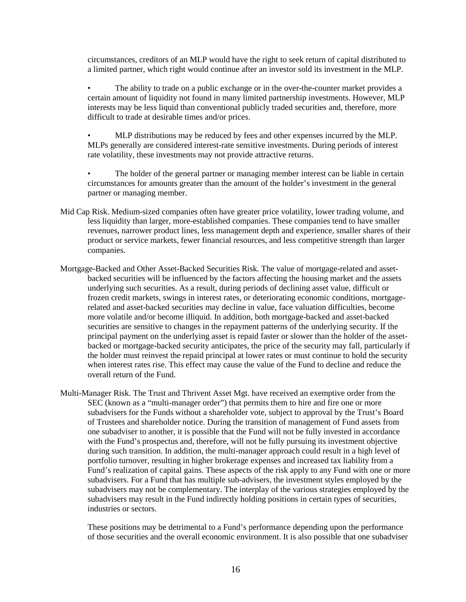circumstances, creditors of an MLP would have the right to seek return of capital distributed to a limited partner, which right would continue after an investor sold its investment in the MLP.

• The ability to trade on a public exchange or in the over-the-counter market provides a certain amount of liquidity not found in many limited partnership investments. However, MLP interests may be less liquid than conventional publicly traded securities and, therefore, more difficult to trade at desirable times and/or prices.

• MLP distributions may be reduced by fees and other expenses incurred by the MLP. MLPs generally are considered interest-rate sensitive investments. During periods of interest rate volatility, these investments may not provide attractive returns.

The holder of the general partner or managing member interest can be liable in certain circumstances for amounts greater than the amount of the holder's investment in the general partner or managing member.

- Mid Cap Risk. Medium-sized companies often have greater price volatility, lower trading volume, and less liquidity than larger, more-established companies. These companies tend to have smaller revenues, narrower product lines, less management depth and experience, smaller shares of their product or service markets, fewer financial resources, and less competitive strength than larger companies.
- Mortgage-Backed and Other Asset-Backed Securities Risk. The value of mortgage-related and assetbacked securities will be influenced by the factors affecting the housing market and the assets underlying such securities. As a result, during periods of declining asset value, difficult or frozen credit markets, swings in interest rates, or deteriorating economic conditions, mortgagerelated and asset-backed securities may decline in value, face valuation difficulties, become more volatile and/or become illiquid. In addition, both mortgage-backed and asset-backed securities are sensitive to changes in the repayment patterns of the underlying security. If the principal payment on the underlying asset is repaid faster or slower than the holder of the assetbacked or mortgage-backed security anticipates, the price of the security may fall, particularly if the holder must reinvest the repaid principal at lower rates or must continue to hold the security when interest rates rise. This effect may cause the value of the Fund to decline and reduce the overall return of the Fund.
- Multi-Manager Risk. The Trust and Thrivent Asset Mgt. have received an exemptive order from the SEC (known as a "multi-manager order") that permits them to hire and fire one or more subadvisers for the Funds without a shareholder vote, subject to approval by the Trust's Board of Trustees and shareholder notice. During the transition of management of Fund assets from one subadviser to another, it is possible that the Fund will not be fully invested in accordance with the Fund's prospectus and, therefore, will not be fully pursuing its investment objective during such transition. In addition, the multi-manager approach could result in a high level of portfolio turnover, resulting in higher brokerage expenses and increased tax liability from a Fund's realization of capital gains. These aspects of the risk apply to any Fund with one or more subadvisers. For a Fund that has multiple sub-advisers, the investment styles employed by the subadvisers may not be complementary. The interplay of the various strategies employed by the subadvisers may result in the Fund indirectly holding positions in certain types of securities, industries or sectors.

These positions may be detrimental to a Fund's performance depending upon the performance of those securities and the overall economic environment. It is also possible that one subadviser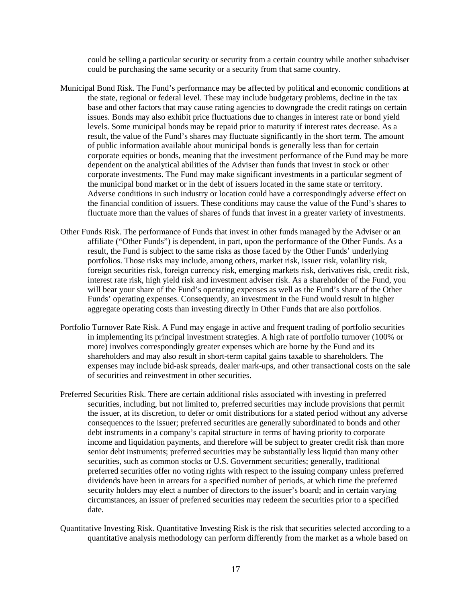could be selling a particular security or security from a certain country while another subadviser could be purchasing the same security or a security from that same country.

- Municipal Bond Risk. The Fund's performance may be affected by political and economic conditions at the state, regional or federal level. These may include budgetary problems, decline in the tax base and other factors that may cause rating agencies to downgrade the credit ratings on certain issues. Bonds may also exhibit price fluctuations due to changes in interest rate or bond yield levels. Some municipal bonds may be repaid prior to maturity if interest rates decrease. As a result, the value of the Fund's shares may fluctuate significantly in the short term. The amount of public information available about municipal bonds is generally less than for certain corporate equities or bonds, meaning that the investment performance of the Fund may be more dependent on the analytical abilities of the Adviser than funds that invest in stock or other corporate investments. The Fund may make significant investments in a particular segment of the municipal bond market or in the debt of issuers located in the same state or territory. Adverse conditions in such industry or location could have a correspondingly adverse effect on the financial condition of issuers. These conditions may cause the value of the Fund's shares to fluctuate more than the values of shares of funds that invest in a greater variety of investments.
- Other Funds Risk. The performance of Funds that invest in other funds managed by the Adviser or an affiliate ("Other Funds") is dependent, in part, upon the performance of the Other Funds. As a result, the Fund is subject to the same risks as those faced by the Other Funds' underlying portfolios. Those risks may include, among others, market risk, issuer risk, volatility risk, foreign securities risk, foreign currency risk, emerging markets risk, derivatives risk, credit risk, interest rate risk, high yield risk and investment adviser risk. As a shareholder of the Fund, you will bear your share of the Fund's operating expenses as well as the Fund's share of the Other Funds' operating expenses. Consequently, an investment in the Fund would result in higher aggregate operating costs than investing directly in Other Funds that are also portfolios.
- Portfolio Turnover Rate Risk. A Fund may engage in active and frequent trading of portfolio securities in implementing its principal investment strategies. A high rate of portfolio turnover (100% or more) involves correspondingly greater expenses which are borne by the Fund and its shareholders and may also result in short-term capital gains taxable to shareholders. The expenses may include bid-ask spreads, dealer mark-ups, and other transactional costs on the sale of securities and reinvestment in other securities.
- Preferred Securities Risk. There are certain additional risks associated with investing in preferred securities, including, but not limited to, preferred securities may include provisions that permit the issuer, at its discretion, to defer or omit distributions for a stated period without any adverse consequences to the issuer; preferred securities are generally subordinated to bonds and other debt instruments in a company's capital structure in terms of having priority to corporate income and liquidation payments, and therefore will be subject to greater credit risk than more senior debt instruments; preferred securities may be substantially less liquid than many other securities, such as common stocks or U.S. Government securities; generally, traditional preferred securities offer no voting rights with respect to the issuing company unless preferred dividends have been in arrears for a specified number of periods, at which time the preferred security holders may elect a number of directors to the issuer's board; and in certain varying circumstances, an issuer of preferred securities may redeem the securities prior to a specified date.
- Quantitative Investing Risk. Quantitative Investing Risk is the risk that securities selected according to a quantitative analysis methodology can perform differently from the market as a whole based on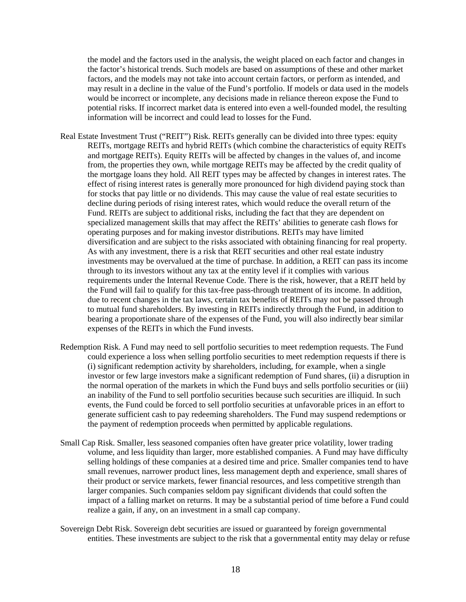the model and the factors used in the analysis, the weight placed on each factor and changes in the factor's historical trends. Such models are based on assumptions of these and other market factors, and the models may not take into account certain factors, or perform as intended, and may result in a decline in the value of the Fund's portfolio. If models or data used in the models would be incorrect or incomplete, any decisions made in reliance thereon expose the Fund to potential risks. If incorrect market data is entered into even a well-founded model, the resulting information will be incorrect and could lead to losses for the Fund.

- Real Estate Investment Trust ("REIT") Risk. REITs generally can be divided into three types: equity REITs, mortgage REITs and hybrid REITs (which combine the characteristics of equity REITs and mortgage REITs). Equity REITs will be affected by changes in the values of, and income from, the properties they own, while mortgage REITs may be affected by the credit quality of the mortgage loans they hold. All REIT types may be affected by changes in interest rates. The effect of rising interest rates is generally more pronounced for high dividend paying stock than for stocks that pay little or no dividends. This may cause the value of real estate securities to decline during periods of rising interest rates, which would reduce the overall return of the Fund. REITs are subject to additional risks, including the fact that they are dependent on specialized management skills that may affect the REITs' abilities to generate cash flows for operating purposes and for making investor distributions. REITs may have limited diversification and are subject to the risks associated with obtaining financing for real property. As with any investment, there is a risk that REIT securities and other real estate industry investments may be overvalued at the time of purchase. In addition, a REIT can pass its income through to its investors without any tax at the entity level if it complies with various requirements under the Internal Revenue Code. There is the risk, however, that a REIT held by the Fund will fail to qualify for this tax-free pass-through treatment of its income. In addition, due to recent changes in the tax laws, certain tax benefits of REITs may not be passed through to mutual fund shareholders. By investing in REITs indirectly through the Fund, in addition to bearing a proportionate share of the expenses of the Fund, you will also indirectly bear similar expenses of the REITs in which the Fund invests.
- Redemption Risk. A Fund may need to sell portfolio securities to meet redemption requests. The Fund could experience a loss when selling portfolio securities to meet redemption requests if there is (i) significant redemption activity by shareholders, including, for example, when a single investor or few large investors make a significant redemption of Fund shares, (ii) a disruption in the normal operation of the markets in which the Fund buys and sells portfolio securities or (iii) an inability of the Fund to sell portfolio securities because such securities are illiquid. In such events, the Fund could be forced to sell portfolio securities at unfavorable prices in an effort to generate sufficient cash to pay redeeming shareholders. The Fund may suspend redemptions or the payment of redemption proceeds when permitted by applicable regulations.
- Small Cap Risk. Smaller, less seasoned companies often have greater price volatility, lower trading volume, and less liquidity than larger, more established companies. A Fund may have difficulty selling holdings of these companies at a desired time and price. Smaller companies tend to have small revenues, narrower product lines, less management depth and experience, small shares of their product or service markets, fewer financial resources, and less competitive strength than larger companies. Such companies seldom pay significant dividends that could soften the impact of a falling market on returns. It may be a substantial period of time before a Fund could realize a gain, if any, on an investment in a small cap company.
- Sovereign Debt Risk. Sovereign debt securities are issued or guaranteed by foreign governmental entities. These investments are subject to the risk that a governmental entity may delay or refuse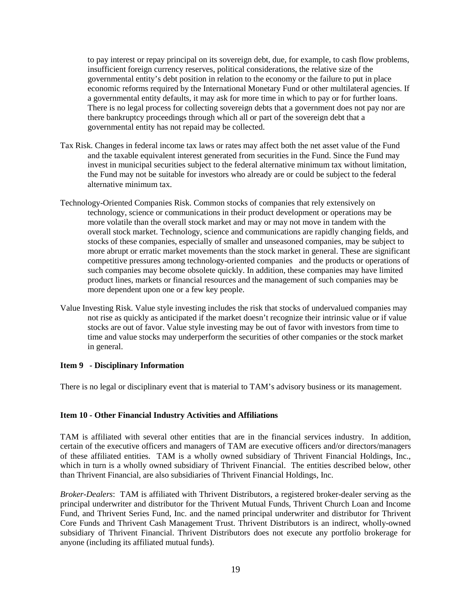to pay interest or repay principal on its sovereign debt, due, for example, to cash flow problems, insufficient foreign currency reserves, political considerations, the relative size of the governmental entity's debt position in relation to the economy or the failure to put in place economic reforms required by the International Monetary Fund or other multilateral agencies. If a governmental entity defaults, it may ask for more time in which to pay or for further loans. There is no legal process for collecting sovereign debts that a government does not pay nor are there bankruptcy proceedings through which all or part of the sovereign debt that a governmental entity has not repaid may be collected.

- Tax Risk. Changes in federal income tax laws or rates may affect both the net asset value of the Fund and the taxable equivalent interest generated from securities in the Fund. Since the Fund may invest in municipal securities subject to the federal alternative minimum tax without limitation, the Fund may not be suitable for investors who already are or could be subject to the federal alternative minimum tax.
- Technology-Oriented Companies Risk. Common stocks of companies that rely extensively on technology, science or communications in their product development or operations may be more volatile than the overall stock market and may or may not move in tandem with the overall stock market. Technology, science and communications are rapidly changing fields, and stocks of these companies, especially of smaller and unseasoned companies, may be subject to more abrupt or erratic market movements than the stock market in general. These are significant competitive pressures among technology-oriented companies and the products or operations of such companies may become obsolete quickly. In addition, these companies may have limited product lines, markets or financial resources and the management of such companies may be more dependent upon one or a few key people.
- Value Investing Risk. Value style investing includes the risk that stocks of undervalued companies may not rise as quickly as anticipated if the market doesn't recognize their intrinsic value or if value stocks are out of favor. Value style investing may be out of favor with investors from time to time and value stocks may underperform the securities of other companies or the stock market in general.

# <span id="page-18-0"></span>**Item 9 - Disciplinary Information**

There is no legal or disciplinary event that is material to TAM's advisory business or its management.

#### <span id="page-18-1"></span>**Item 10 - Other Financial Industry Activities and Affiliations**

TAM is affiliated with several other entities that are in the financial services industry. In addition, certain of the executive officers and managers of TAM are executive officers and/or directors/managers of these affiliated entities. TAM is a wholly owned subsidiary of Thrivent Financial Holdings, Inc., which in turn is a wholly owned subsidiary of Thrivent Financial. The entities described below, other than Thrivent Financial, are also subsidiaries of Thrivent Financial Holdings, Inc.

*Broker-Dealers*: TAM is affiliated with Thrivent Distributors, a registered broker-dealer serving as the principal underwriter and distributor for the Thrivent Mutual Funds, Thrivent Church Loan and Income Fund, and Thrivent Series Fund, Inc. and the named principal underwriter and distributor for Thrivent Core Funds and Thrivent Cash Management Trust. Thrivent Distributors is an indirect, wholly-owned subsidiary of Thrivent Financial. Thrivent Distributors does not execute any portfolio brokerage for anyone (including its affiliated mutual funds).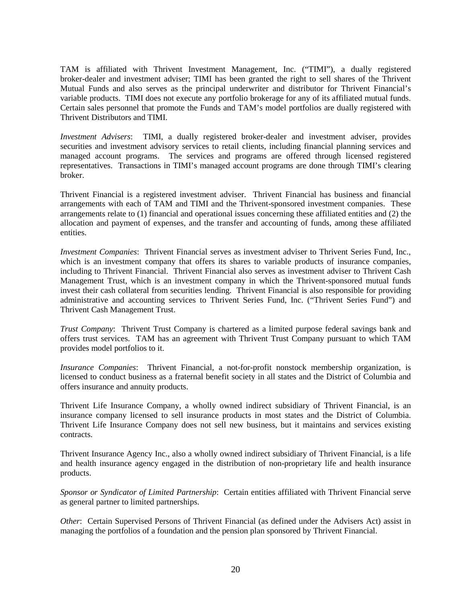TAM is affiliated with Thrivent Investment Management, Inc. ("TIMI"), a dually registered broker-dealer and investment adviser; TIMI has been granted the right to sell shares of the Thrivent Mutual Funds and also serves as the principal underwriter and distributor for Thrivent Financial's variable products. TIMI does not execute any portfolio brokerage for any of its affiliated mutual funds. Certain sales personnel that promote the Funds and TAM's model portfolios are dually registered with Thrivent Distributors and TIMI.

*Investment Advisers*:TIMI, a dually registered broker-dealer and investment adviser, provides securities and investment advisory services to retail clients, including financial planning services and managed account programs. The services and programs are offered through licensed registered representatives. Transactions in TIMI's managed account programs are done through TIMI's clearing broker.

Thrivent Financial is a registered investment adviser. Thrivent Financial has business and financial arrangements with each of TAM and TIMI and the Thrivent-sponsored investment companies. These arrangements relate to (1) financial and operational issues concerning these affiliated entities and (2) the allocation and payment of expenses, and the transfer and accounting of funds, among these affiliated entities.

*Investment Companies*:Thrivent Financial serves as investment adviser to Thrivent Series Fund, Inc., which is an investment company that offers its shares to variable products of insurance companies, including to Thrivent Financial. Thrivent Financial also serves as investment adviser to Thrivent Cash Management Trust, which is an investment company in which the Thrivent-sponsored mutual funds invest their cash collateral from securities lending. Thrivent Financial is also responsible for providing administrative and accounting services to Thrivent Series Fund, Inc. ("Thrivent Series Fund") and Thrivent Cash Management Trust.

*Trust Company*: Thrivent Trust Company is chartered as a limited purpose federal savings bank and offers trust services. TAM has an agreement with Thrivent Trust Company pursuant to which TAM provides model portfolios to it.

*Insurance Companies*: Thrivent Financial, a not-for-profit nonstock membership organization, is licensed to conduct business as a fraternal benefit society in all states and the District of Columbia and offers insurance and annuity products.

Thrivent Life Insurance Company, a wholly owned indirect subsidiary of Thrivent Financial, is an insurance company licensed to sell insurance products in most states and the District of Columbia. Thrivent Life Insurance Company does not sell new business, but it maintains and services existing contracts.

Thrivent Insurance Agency Inc., also a wholly owned indirect subsidiary of Thrivent Financial, is a life and health insurance agency engaged in the distribution of non-proprietary life and health insurance products.

*Sponsor or Syndicator of Limited Partnership*: Certain entities affiliated with Thrivent Financial serve as general partner to limited partnerships.

*Other*: Certain Supervised Persons of Thrivent Financial (as defined under the Advisers Act) assist in managing the portfolios of a foundation and the pension plan sponsored by Thrivent Financial.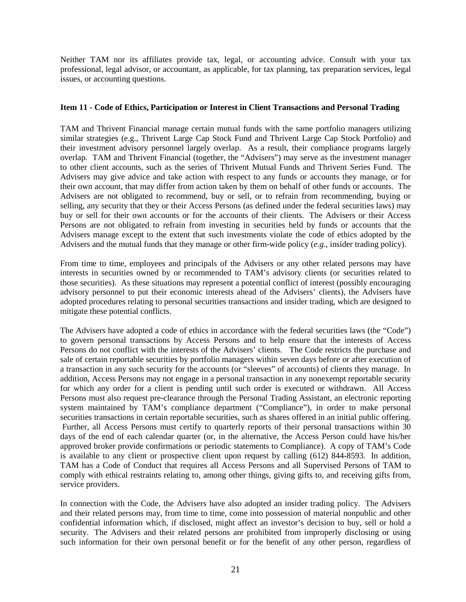Neither TAM nor its affiliates provide tax, legal, or accounting advice. Consult with your tax professional, legal advisor, or accountant, as applicable, for tax planning, tax preparation services, legal issues, or accounting questions.

#### <span id="page-20-0"></span>**Item 11 - Code of Ethics, Participation or Interest in Client Transactions and Personal Trading**

TAM and Thrivent Financial manage certain mutual funds with the same portfolio managers utilizing similar strategies (e.g., Thrivent Large Cap Stock Fund and Thrivent Large Cap Stock Portfolio) and their investment advisory personnel largely overlap. As a result, their compliance programs largely overlap. TAM and Thrivent Financial (together, the "Advisers") may serve as the investment manager to other client accounts, such as the series of Thrivent Mutual Funds and Thrivent Series Fund. The Advisers may give advice and take action with respect to any funds or accounts they manage, or for their own account, that may differ from action taken by them on behalf of other funds or accounts. The Advisers are not obligated to recommend, buy or sell, or to refrain from recommending, buying or selling, any security that they or their Access Persons (as defined under the federal securities laws) may buy or sell for their own accounts or for the accounts of their clients. The Advisers or their Access Persons are not obligated to refrain from investing in securities held by funds or accounts that the Advisers manage except to the extent that such investments violate the code of ethics adopted by the Advisers and the mutual funds that they manage or other firm-wide policy (*e.g.*, insider trading policy).

From time to time, employees and principals of the Advisers or any other related persons may have interests in securities owned by or recommended to TAM's advisory clients (or securities related to those securities). As these situations may represent a potential conflict of interest (possibly encouraging advisory personnel to put their economic interests ahead of the Advisers' clients), the Advisers have adopted procedures relating to personal securities transactions and insider trading, which are designed to mitigate these potential conflicts.

The Advisers have adopted a code of ethics in accordance with the federal securities laws (the "Code") to govern personal transactions by Access Persons and to help ensure that the interests of Access Persons do not conflict with the interests of the Advisers' clients. The Code restricts the purchase and sale of certain reportable securities by portfolio managers within seven days before or after execution of a transaction in any such security for the accounts (or "sleeves" of accounts) of clients they manage. In addition, Access Persons may not engage in a personal transaction in any nonexempt reportable security for which any order for a client is pending until such order is executed or withdrawn. All Access Persons must also request pre-clearance through the Personal Trading Assistant, an electronic reporting system maintained by TAM's compliance department ("Compliance"), in order to make personal securities transactions in certain reportable securities, such as shares offered in an initial public offering. Further, all Access Persons must certify to quarterly reports of their personal transactions within 30 days of the end of each calendar quarter (or, in the alternative, the Access Person could have his/her approved broker provide confirmations or periodic statements to Compliance). A copy of TAM's Code is available to any client or prospective client upon request by calling (612) 844-8593. In addition, TAM has a Code of Conduct that requires all Access Persons and all Supervised Persons of TAM to comply with ethical restraints relating to, among other things, giving gifts to, and receiving gifts from, service providers.

In connection with the Code, the Advisers have also adopted an insider trading policy. The Advisers and their related persons may, from time to time, come into possession of material nonpublic and other confidential information which, if disclosed, might affect an investor's decision to buy, sell or hold a security. The Advisers and their related persons are prohibited from improperly disclosing or using such information for their own personal benefit or for the benefit of any other person, regardless of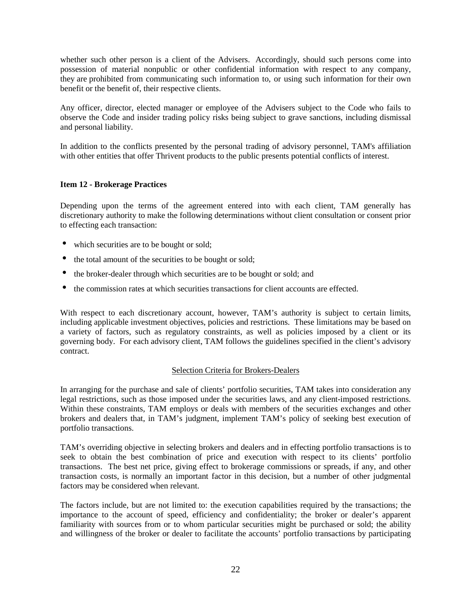whether such other person is a client of the Advisers. Accordingly, should such persons come into possession of material nonpublic or other confidential information with respect to any company, they are prohibited from communicating such information to, or using such information for their own benefit or the benefit of, their respective clients.

Any officer, director, elected manager or employee of the Advisers subject to the Code who fails to observe the Code and insider trading policy risks being subject to grave sanctions, including dismissal and personal liability.

In addition to the conflicts presented by the personal trading of advisory personnel, TAM's affiliation with other entities that offer Thrivent products to the public presents potential conflicts of interest.

# <span id="page-21-0"></span>**Item 12 - Brokerage Practices**

Depending upon the terms of the agreement entered into with each client, TAM generally has discretionary authority to make the following determinations without client consultation or consent prior to effecting each transaction:

- which securities are to be bought or sold;
- the total amount of the securities to be bought or sold;
- the broker-dealer through which securities are to be bought or sold; and
- the commission rates at which securities transactions for client accounts are effected.

With respect to each discretionary account, however, TAM's authority is subject to certain limits, including applicable investment objectives, policies and restrictions. These limitations may be based on a variety of factors, such as regulatory constraints, as well as policies imposed by a client or its governing body. For each advisory client, TAM follows the guidelines specified in the client's advisory contract.

#### Selection Criteria for Brokers-Dealers

In arranging for the purchase and sale of clients' portfolio securities, TAM takes into consideration any legal restrictions, such as those imposed under the securities laws, and any client-imposed restrictions. Within these constraints, TAM employs or deals with members of the securities exchanges and other brokers and dealers that, in TAM's judgment, implement TAM's policy of seeking best execution of portfolio transactions.

TAM's overriding objective in selecting brokers and dealers and in effecting portfolio transactions is to seek to obtain the best combination of price and execution with respect to its clients' portfolio transactions. The best net price, giving effect to brokerage commissions or spreads, if any, and other transaction costs, is normally an important factor in this decision, but a number of other judgmental factors may be considered when relevant.

The factors include, but are not limited to: the execution capabilities required by the transactions; the importance to the account of speed, efficiency and confidentiality; the broker or dealer's apparent familiarity with sources from or to whom particular securities might be purchased or sold; the ability and willingness of the broker or dealer to facilitate the accounts' portfolio transactions by participating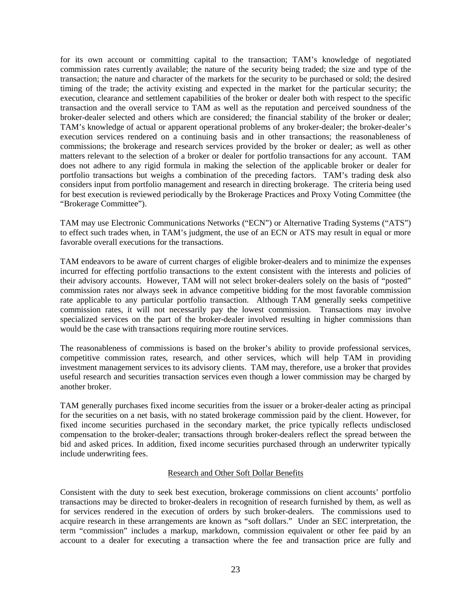for its own account or committing capital to the transaction; TAM's knowledge of negotiated commission rates currently available; the nature of the security being traded; the size and type of the transaction; the nature and character of the markets for the security to be purchased or sold; the desired timing of the trade; the activity existing and expected in the market for the particular security; the execution, clearance and settlement capabilities of the broker or dealer both with respect to the specific transaction and the overall service to TAM as well as the reputation and perceived soundness of the broker-dealer selected and others which are considered; the financial stability of the broker or dealer; TAM's knowledge of actual or apparent operational problems of any broker-dealer; the broker-dealer's execution services rendered on a continuing basis and in other transactions; the reasonableness of commissions; the brokerage and research services provided by the broker or dealer; as well as other matters relevant to the selection of a broker or dealer for portfolio transactions for any account. TAM does not adhere to any rigid formula in making the selection of the applicable broker or dealer for portfolio transactions but weighs a combination of the preceding factors. TAM's trading desk also considers input from portfolio management and research in directing brokerage. The criteria being used for best execution is reviewed periodically by the Brokerage Practices and Proxy Voting Committee (the "Brokerage Committee").

TAM may use Electronic Communications Networks ("ECN") or Alternative Trading Systems ("ATS") to effect such trades when, in TAM's judgment, the use of an ECN or ATS may result in equal or more favorable overall executions for the transactions.

TAM endeavors to be aware of current charges of eligible broker-dealers and to minimize the expenses incurred for effecting portfolio transactions to the extent consistent with the interests and policies of their advisory accounts. However, TAM will not select broker-dealers solely on the basis of "posted" commission rates nor always seek in advance competitive bidding for the most favorable commission rate applicable to any particular portfolio transaction. Although TAM generally seeks competitive commission rates, it will not necessarily pay the lowest commission. Transactions may involve specialized services on the part of the broker-dealer involved resulting in higher commissions than would be the case with transactions requiring more routine services.

The reasonableness of commissions is based on the broker's ability to provide professional services, competitive commission rates, research, and other services, which will help TAM in providing investment management services to its advisory clients. TAM may, therefore, use a broker that provides useful research and securities transaction services even though a lower commission may be charged by another broker.

TAM generally purchases fixed income securities from the issuer or a broker-dealer acting as principal for the securities on a net basis, with no stated brokerage commission paid by the client. However, for fixed income securities purchased in the secondary market, the price typically reflects undisclosed compensation to the broker-dealer; transactions through broker-dealers reflect the spread between the bid and asked prices. In addition, fixed income securities purchased through an underwriter typically include underwriting fees.

# Research and Other Soft Dollar Benefits

Consistent with the duty to seek best execution, brokerage commissions on client accounts' portfolio transactions may be directed to broker-dealers in recognition of research furnished by them, as well as for services rendered in the execution of orders by such broker-dealers. The commissions used to acquire research in these arrangements are known as "soft dollars." Under an SEC interpretation, the term "commission" includes a markup, markdown, commission equivalent or other fee paid by an account to a dealer for executing a transaction where the fee and transaction price are fully and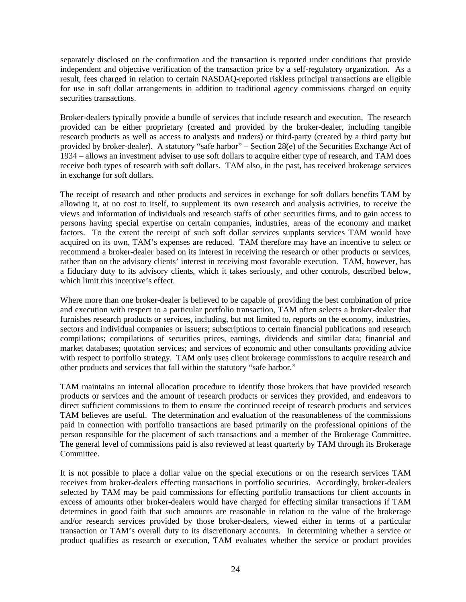separately disclosed on the confirmation and the transaction is reported under conditions that provide independent and objective verification of the transaction price by a self-regulatory organization. As a result, fees charged in relation to certain NASDAQ-reported riskless principal transactions are eligible for use in soft dollar arrangements in addition to traditional agency commissions charged on equity securities transactions.

Broker-dealers typically provide a bundle of services that include research and execution. The research provided can be either proprietary (created and provided by the broker-dealer, including tangible research products as well as access to analysts and traders) or third-party (created by a third party but provided by broker-dealer). A statutory "safe harbor" – Section 28(e) of the Securities Exchange Act of 1934 – allows an investment adviser to use soft dollars to acquire either type of research, and TAM does receive both types of research with soft dollars. TAM also, in the past, has received brokerage services in exchange for soft dollars.

The receipt of research and other products and services in exchange for soft dollars benefits TAM by allowing it, at no cost to itself, to supplement its own research and analysis activities, to receive the views and information of individuals and research staffs of other securities firms, and to gain access to persons having special expertise on certain companies, industries, areas of the economy and market factors. To the extent the receipt of such soft dollar services supplants services TAM would have acquired on its own, TAM's expenses are reduced. TAM therefore may have an incentive to select or recommend a broker-dealer based on its interest in receiving the research or other products or services, rather than on the advisory clients' interest in receiving most favorable execution. TAM, however, has a fiduciary duty to its advisory clients, which it takes seriously, and other controls, described below, which limit this incentive's effect.

Where more than one broker-dealer is believed to be capable of providing the best combination of price and execution with respect to a particular portfolio transaction, TAM often selects a broker-dealer that furnishes research products or services, including, but not limited to, reports on the economy, industries, sectors and individual companies or issuers; subscriptions to certain financial publications and research compilations; compilations of securities prices, earnings, dividends and similar data; financial and market databases; quotation services; and services of economic and other consultants providing advice with respect to portfolio strategy. TAM only uses client brokerage commissions to acquire research and other products and services that fall within the statutory "safe harbor."

TAM maintains an internal allocation procedure to identify those brokers that have provided research products or services and the amount of research products or services they provided, and endeavors to direct sufficient commissions to them to ensure the continued receipt of research products and services TAM believes are useful. The determination and evaluation of the reasonableness of the commissions paid in connection with portfolio transactions are based primarily on the professional opinions of the person responsible for the placement of such transactions and a member of the Brokerage Committee. The general level of commissions paid is also reviewed at least quarterly by TAM through its Brokerage Committee.

It is not possible to place a dollar value on the special executions or on the research services TAM receives from broker-dealers effecting transactions in portfolio securities. Accordingly, broker-dealers selected by TAM may be paid commissions for effecting portfolio transactions for client accounts in excess of amounts other broker-dealers would have charged for effecting similar transactions if TAM determines in good faith that such amounts are reasonable in relation to the value of the brokerage and/or research services provided by those broker-dealers, viewed either in terms of a particular transaction or TAM's overall duty to its discretionary accounts. In determining whether a service or product qualifies as research or execution, TAM evaluates whether the service or product provides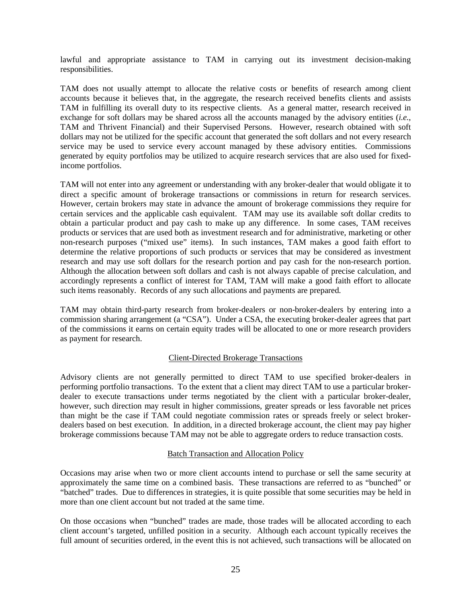lawful and appropriate assistance to TAM in carrying out its investment decision-making responsibilities.

TAM does not usually attempt to allocate the relative costs or benefits of research among client accounts because it believes that, in the aggregate, the research received benefits clients and assists TAM in fulfilling its overall duty to its respective clients. As a general matter, research received in exchange for soft dollars may be shared across all the accounts managed by the advisory entities (*i.e.*, TAM and Thrivent Financial) and their Supervised Persons. However, research obtained with soft dollars may not be utilized for the specific account that generated the soft dollars and not every research service may be used to service every account managed by these advisory entities. Commissions generated by equity portfolios may be utilized to acquire research services that are also used for fixedincome portfolios.

TAM will not enter into any agreement or understanding with any broker-dealer that would obligate it to direct a specific amount of brokerage transactions or commissions in return for research services. However, certain brokers may state in advance the amount of brokerage commissions they require for certain services and the applicable cash equivalent. TAM may use its available soft dollar credits to obtain a particular product and pay cash to make up any difference. In some cases, TAM receives products or services that are used both as investment research and for administrative, marketing or other non-research purposes ("mixed use" items). In such instances, TAM makes a good faith effort to determine the relative proportions of such products or services that may be considered as investment research and may use soft dollars for the research portion and pay cash for the non-research portion. Although the allocation between soft dollars and cash is not always capable of precise calculation, and accordingly represents a conflict of interest for TAM, TAM will make a good faith effort to allocate such items reasonably. Records of any such allocations and payments are prepared.

TAM may obtain third-party research from broker-dealers or non-broker-dealers by entering into a commission sharing arrangement (a "CSA"). Under a CSA, the executing broker-dealer agrees that part of the commissions it earns on certain equity trades will be allocated to one or more research providers as payment for research.

# Client-Directed Brokerage Transactions

Advisory clients are not generally permitted to direct TAM to use specified broker-dealers in performing portfolio transactions. To the extent that a client may direct TAM to use a particular brokerdealer to execute transactions under terms negotiated by the client with a particular broker-dealer, however, such direction may result in higher commissions, greater spreads or less favorable net prices than might be the case if TAM could negotiate commission rates or spreads freely or select brokerdealers based on best execution. In addition, in a directed brokerage account, the client may pay higher brokerage commissions because TAM may not be able to aggregate orders to reduce transaction costs.

# Batch Transaction and Allocation Policy

Occasions may arise when two or more client accounts intend to purchase or sell the same security at approximately the same time on a combined basis. These transactions are referred to as "bunched" or "batched" trades. Due to differences in strategies, it is quite possible that some securities may be held in more than one client account but not traded at the same time.

On those occasions when "bunched" trades are made, those trades will be allocated according to each client account's targeted, unfilled position in a security. Although each account typically receives the full amount of securities ordered, in the event this is not achieved, such transactions will be allocated on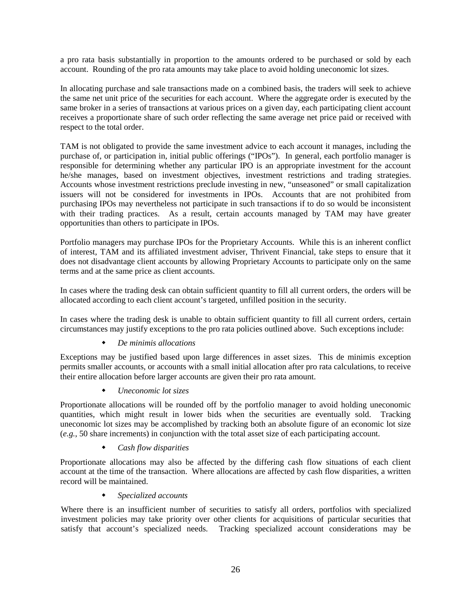a pro rata basis substantially in proportion to the amounts ordered to be purchased or sold by each account. Rounding of the pro rata amounts may take place to avoid holding uneconomic lot sizes.

In allocating purchase and sale transactions made on a combined basis, the traders will seek to achieve the same net unit price of the securities for each account. Where the aggregate order is executed by the same broker in a series of transactions at various prices on a given day, each participating client account receives a proportionate share of such order reflecting the same average net price paid or received with respect to the total order.

TAM is not obligated to provide the same investment advice to each account it manages, including the purchase of, or participation in, initial public offerings ("IPOs"). In general, each portfolio manager is responsible for determining whether any particular IPO is an appropriate investment for the account he/she manages, based on investment objectives, investment restrictions and trading strategies. Accounts whose investment restrictions preclude investing in new, "unseasoned" or small capitalization issuers will not be considered for investments in IPOs. Accounts that are not prohibited from purchasing IPOs may nevertheless not participate in such transactions if to do so would be inconsistent with their trading practices. As a result, certain accounts managed by TAM may have greater opportunities than others to participate in IPOs.

Portfolio managers may purchase IPOs for the Proprietary Accounts. While this is an inherent conflict of interest, TAM and its affiliated investment adviser, Thrivent Financial, take steps to ensure that it does not disadvantage client accounts by allowing Proprietary Accounts to participate only on the same terms and at the same price as client accounts.

In cases where the trading desk can obtain sufficient quantity to fill all current orders, the orders will be allocated according to each client account's targeted, unfilled position in the security.

In cases where the trading desk is unable to obtain sufficient quantity to fill all current orders, certain circumstances may justify exceptions to the pro rata policies outlined above. Such exceptions include:

*De minimis allocations*

Exceptions may be justified based upon large differences in asset sizes. This de minimis exception permits smaller accounts, or accounts with a small initial allocation after pro rata calculations, to receive their entire allocation before larger accounts are given their pro rata amount.

*Uneconomic lot sizes*

Proportionate allocations will be rounded off by the portfolio manager to avoid holding uneconomic quantities, which might result in lower bids when the securities are eventually sold. Tracking uneconomic lot sizes may be accomplished by tracking both an absolute figure of an economic lot size (*e.g.*, 50 share increments) in conjunction with the total asset size of each participating account.

*Cash flow disparities*

Proportionate allocations may also be affected by the differing cash flow situations of each client account at the time of the transaction. Where allocations are affected by cash flow disparities, a written record will be maintained.

*Specialized accounts*

Where there is an insufficient number of securities to satisfy all orders, portfolios with specialized investment policies may take priority over other clients for acquisitions of particular securities that satisfy that account's specialized needs. Tracking specialized account considerations may be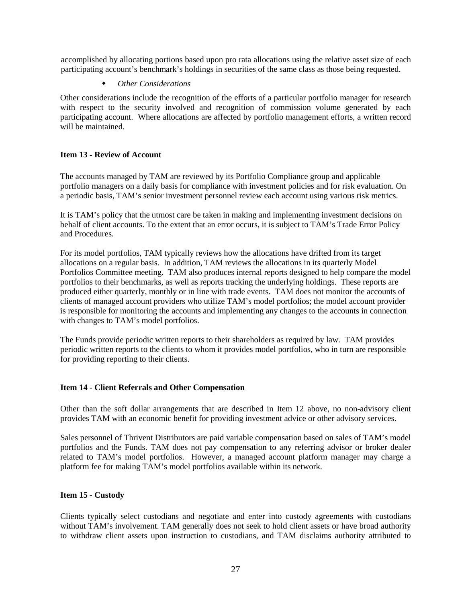accomplished by allocating portions based upon pro rata allocations using the relative asset size of each participating account's benchmark's holdings in securities of the same class as those being requested.

#### *Other Considerations*

Other considerations include the recognition of the efforts of a particular portfolio manager for research with respect to the security involved and recognition of commission volume generated by each participating account. Where allocations are affected by portfolio management efforts, a written record will be maintained.

# <span id="page-26-0"></span>**Item 13 - Review of Account**

The accounts managed by TAM are reviewed by its Portfolio Compliance group and applicable portfolio managers on a daily basis for compliance with investment policies and for risk evaluation. On a periodic basis, TAM's senior investment personnel review each account using various risk metrics.

It is TAM's policy that the utmost care be taken in making and implementing investment decisions on behalf of client accounts. To the extent that an error occurs, it is subject to TAM's Trade Error Policy and Procedures.

For its model portfolios, TAM typically reviews how the allocations have drifted from its target allocations on a regular basis. In addition, TAM reviews the allocations in its quarterly Model Portfolios Committee meeting. TAM also produces internal reports designed to help compare the model portfolios to their benchmarks, as well as reports tracking the underlying holdings. These reports are produced either quarterly, monthly or in line with trade events. TAM does not monitor the accounts of clients of managed account providers who utilize TAM's model portfolios; the model account provider is responsible for monitoring the accounts and implementing any changes to the accounts in connection with changes to TAM's model portfolios.

The Funds provide periodic written reports to their shareholders as required by law. TAM provides periodic written reports to the clients to whom it provides model portfolios, who in turn are responsible for providing reporting to their clients.

# <span id="page-26-1"></span>**Item 14 - Client Referrals and Other Compensation**

Other than the soft dollar arrangements that are described in Item 12 above, no non-advisory client provides TAM with an economic benefit for providing investment advice or other advisory services.

Sales personnel of Thrivent Distributors are paid variable compensation based on sales of TAM's model portfolios and the Funds. TAM does not pay compensation to any referring advisor or broker dealer related to TAM's model portfolios. However, a managed account platform manager may charge a platform fee for making TAM's model portfolios available within its network.

#### <span id="page-26-2"></span>**Item 15 - Custody**

Clients typically select custodians and negotiate and enter into custody agreements with custodians without TAM's involvement. TAM generally does not seek to hold client assets or have broad authority to withdraw client assets upon instruction to custodians, and TAM disclaims authority attributed to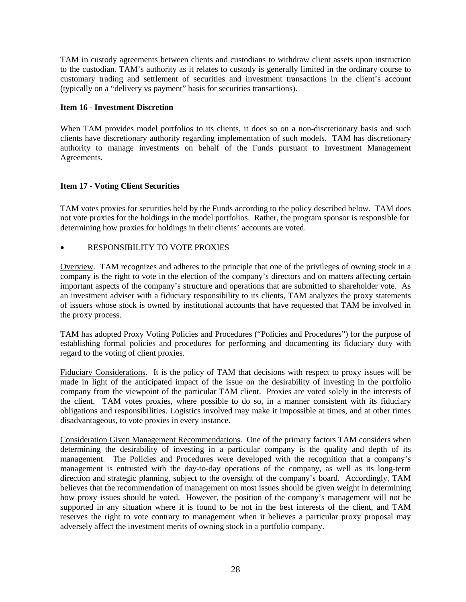TAM in custody agreements between clients and custodians to withdraw client assets upon instruction to the custodian. TAM's authority as it relates to custody is generally limited in the ordinary course to customary trading and settlement of securities and investment transactions in the client's account (typically on a "delivery vs payment" basis for securities transactions).

# <span id="page-27-0"></span>**Item 16 - Investment Discretion**

When TAM provides model portfolios to its clients, it does so on a non-discretionary basis and such clients have discretionary authority regarding implementation of such models. TAM has discretionary authority to manage investments on behalf of the Funds pursuant to Investment Management Agreements.

# <span id="page-27-1"></span>**Item 17 - Voting Client Securities**

TAM votes proxies for securities held by the Funds according to the policy described below. TAM does not vote proxies for the holdings in the model portfolios. Rather, the program sponsor is responsible for determining how proxies for holdings in their clients' accounts are voted.

# • RESPONSIBILITY TO VOTE PROXIES

Overview. TAM recognizes and adheres to the principle that one of the privileges of owning stock in a company is the right to vote in the election of the company's directors and on matters affecting certain important aspects of the company's structure and operations that are submitted to shareholder vote. As an investment adviser with a fiduciary responsibility to its clients, TAM analyzes the proxy statements of issuers whose stock is owned by institutional accounts that have requested that TAM be involved in the proxy process.

TAM has adopted Proxy Voting Policies and Procedures ("Policies and Procedures") for the purpose of establishing formal policies and procedures for performing and documenting its fiduciary duty with regard to the voting of client proxies.

Fiduciary Considerations. It is the policy of TAM that decisions with respect to proxy issues will be made in light of the anticipated impact of the issue on the desirability of investing in the portfolio company from the viewpoint of the particular TAM client. Proxies are voted solely in the interests of the client. TAM votes proxies, where possible to do so, in a manner consistent with its fiduciary obligations and responsibilities. Logistics involved may make it impossible at times, and at other times disadvantageous, to vote proxies in every instance.

Consideration Given Management Recommendations. One of the primary factors TAM considers when determining the desirability of investing in a particular company is the quality and depth of its management. The Policies and Procedures were developed with the recognition that a company's management is entrusted with the day-to-day operations of the company, as well as its long-term direction and strategic planning, subject to the oversight of the company's board. Accordingly, TAM believes that the recommendation of management on most issues should be given weight in determining how proxy issues should be voted. However, the position of the company's management will not be supported in any situation where it is found to be not in the best interests of the client, and TAM reserves the right to vote contrary to management when it believes a particular proxy proposal may adversely affect the investment merits of owning stock in a portfolio company.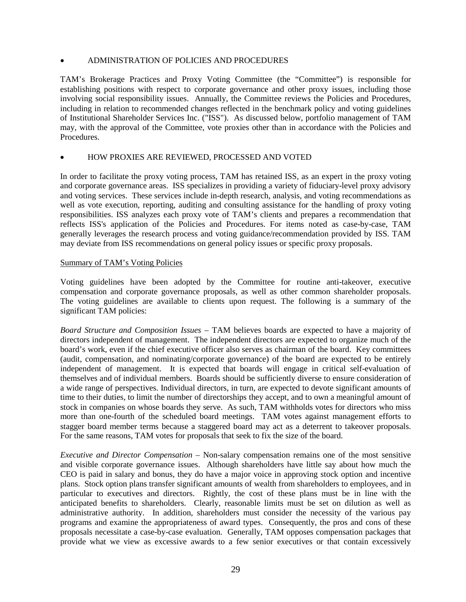# • ADMINISTRATION OF POLICIES AND PROCEDURES

TAM's Brokerage Practices and Proxy Voting Committee (the "Committee") is responsible for establishing positions with respect to corporate governance and other proxy issues, including those involving social responsibility issues. Annually, the Committee reviews the Policies and Procedures, including in relation to recommended changes reflected in the benchmark policy and voting guidelines of Institutional Shareholder Services Inc. ("ISS"). As discussed below, portfolio management of TAM may, with the approval of the Committee, vote proxies other than in accordance with the Policies and Procedures.

#### • HOW PROXIES ARE REVIEWED, PROCESSED AND VOTED

In order to facilitate the proxy voting process, TAM has retained ISS, as an expert in the proxy voting and corporate governance areas. ISS specializes in providing a variety of fiduciary-level proxy advisory and voting services. These services include in-depth research, analysis, and voting recommendations as well as vote execution, reporting, auditing and consulting assistance for the handling of proxy voting responsibilities. ISS analyzes each proxy vote of TAM's clients and prepares a recommendation that reflects ISS's application of the Policies and Procedures. For items noted as case-by-case, TAM generally leverages the research process and voting guidance/recommendation provided by ISS. TAM may deviate from ISS recommendations on general policy issues or specific proxy proposals.

#### Summary of TAM's Voting Policies

Voting guidelines have been adopted by the Committee for routine anti-takeover, executive compensation and corporate governance proposals, as well as other common shareholder proposals. The voting guidelines are available to clients upon request. The following is a summary of the significant TAM policies:

*Board Structure and Composition Issues* – TAM believes boards are expected to have a majority of directors independent of management. The independent directors are expected to organize much of the board's work, even if the chief executive officer also serves as chairman of the board. Key committees (audit, compensation, and nominating/corporate governance) of the board are expected to be entirely independent of management. It is expected that boards will engage in critical self-evaluation of themselves and of individual members. Boards should be sufficiently diverse to ensure consideration of a wide range of perspectives. Individual directors, in turn, are expected to devote significant amounts of time to their duties, to limit the number of directorships they accept, and to own a meaningful amount of stock in companies on whose boards they serve. As such, TAM withholds votes for directors who miss more than one-fourth of the scheduled board meetings. TAM votes against management efforts to stagger board member terms because a staggered board may act as a deterrent to takeover proposals. For the same reasons, TAM votes for proposals that seek to fix the size of the board.

*Executive and Director Compensation –* Non-salary compensation remains one of the most sensitive and visible corporate governance issues. Although shareholders have little say about how much the CEO is paid in salary and bonus, they do have a major voice in approving stock option and incentive plans. Stock option plans transfer significant amounts of wealth from shareholders to employees, and in particular to executives and directors. Rightly, the cost of these plans must be in line with the anticipated benefits to shareholders. Clearly, reasonable limits must be set on dilution as well as administrative authority. In addition, shareholders must consider the necessity of the various pay programs and examine the appropriateness of award types. Consequently, the pros and cons of these proposals necessitate a case-by-case evaluation. Generally, TAM opposes compensation packages that provide what we view as excessive awards to a few senior executives or that contain excessively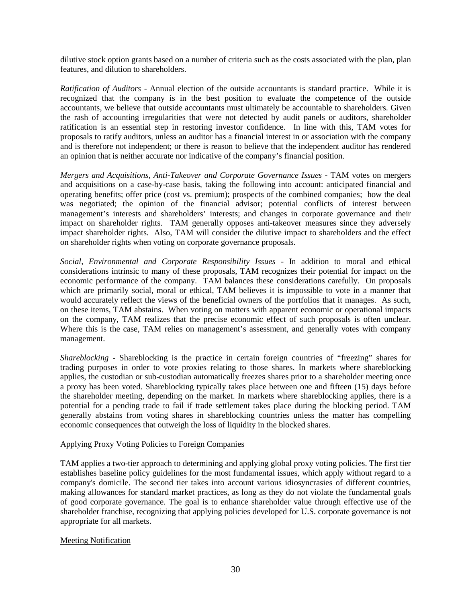dilutive stock option grants based on a number of criteria such as the costs associated with the plan, plan features, and dilution to shareholders.

*Ratification of Auditors* - Annual election of the outside accountants is standard practice. While it is recognized that the company is in the best position to evaluate the competence of the outside accountants, we believe that outside accountants must ultimately be accountable to shareholders. Given the rash of accounting irregularities that were not detected by audit panels or auditors, shareholder ratification is an essential step in restoring investor confidence. In line with this, TAM votes for proposals to ratify auditors, unless an auditor has a financial interest in or association with the company and is therefore not independent; or there is reason to believe that the independent auditor has rendered an opinion that is neither accurate nor indicative of the company's financial position.

*Mergers and Acquisitions, Anti-Takeover and Corporate Governance Issues* - TAM votes on mergers and acquisitions on a case-by-case basis, taking the following into account: anticipated financial and operating benefits; offer price (cost vs. premium); prospects of the combined companies; how the deal was negotiated; the opinion of the financial advisor; potential conflicts of interest between management's interests and shareholders' interests; and changes in corporate governance and their impact on shareholder rights. TAM generally opposes anti-takeover measures since they adversely impact shareholder rights. Also, TAM will consider the dilutive impact to shareholders and the effect on shareholder rights when voting on corporate governance proposals.

*Social, Environmental and Corporate Responsibility Issues* - In addition to moral and ethical considerations intrinsic to many of these proposals, TAM recognizes their potential for impact on the economic performance of the company. TAM balances these considerations carefully. On proposals which are primarily social, moral or ethical, TAM believes it is impossible to vote in a manner that would accurately reflect the views of the beneficial owners of the portfolios that it manages. As such, on these items, TAM abstains. When voting on matters with apparent economic or operational impacts on the company, TAM realizes that the precise economic effect of such proposals is often unclear. Where this is the case, TAM relies on management's assessment, and generally votes with company management.

*Shareblocking* - Shareblocking is the practice in certain foreign countries of "freezing" shares for trading purposes in order to vote proxies relating to those shares. In markets where shareblocking applies, the custodian or sub-custodian automatically freezes shares prior to a shareholder meeting once a proxy has been voted. Shareblocking typically takes place between one and fifteen (15) days before the shareholder meeting, depending on the market. In markets where shareblocking applies, there is a potential for a pending trade to fail if trade settlement takes place during the blocking period. TAM generally abstains from voting shares in shareblocking countries unless the matter has compelling economic consequences that outweigh the loss of liquidity in the blocked shares.

#### Applying Proxy Voting Policies to Foreign Companies

TAM applies a two-tier approach to determining and applying global proxy voting policies. The first tier establishes baseline policy guidelines for the most fundamental issues, which apply without regard to a company's domicile. The second tier takes into account various idiosyncrasies of different countries, making allowances for standard market practices, as long as they do not violate the fundamental goals of good corporate governance. The goal is to enhance shareholder value through effective use of the shareholder franchise, recognizing that applying policies developed for U.S. corporate governance is not appropriate for all markets.

# Meeting Notification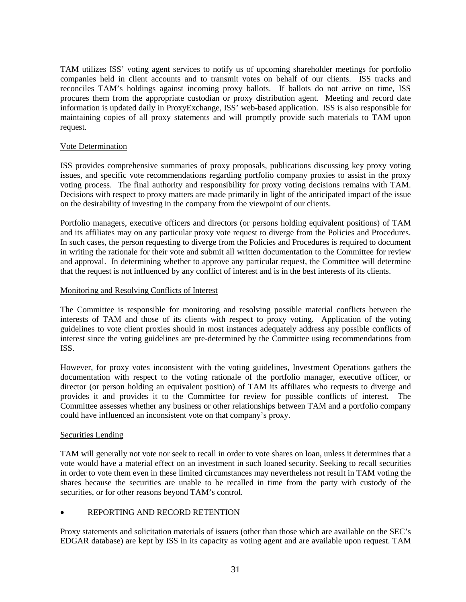TAM utilizes ISS' voting agent services to notify us of upcoming shareholder meetings for portfolio companies held in client accounts and to transmit votes on behalf of our clients. ISS tracks and reconciles TAM's holdings against incoming proxy ballots. If ballots do not arrive on time, ISS procures them from the appropriate custodian or proxy distribution agent. Meeting and record date information is updated daily in ProxyExchange, ISS' web-based application. ISS is also responsible for maintaining copies of all proxy statements and will promptly provide such materials to TAM upon request.

# Vote Determination

ISS provides comprehensive summaries of proxy proposals, publications discussing key proxy voting issues, and specific vote recommendations regarding portfolio company proxies to assist in the proxy voting process. The final authority and responsibility for proxy voting decisions remains with TAM. Decisions with respect to proxy matters are made primarily in light of the anticipated impact of the issue on the desirability of investing in the company from the viewpoint of our clients.

Portfolio managers, executive officers and directors (or persons holding equivalent positions) of TAM and its affiliates may on any particular proxy vote request to diverge from the Policies and Procedures. In such cases, the person requesting to diverge from the Policies and Procedures is required to document in writing the rationale for their vote and submit all written documentation to the Committee for review and approval. In determining whether to approve any particular request, the Committee will determine that the request is not influenced by any conflict of interest and is in the best interests of its clients.

#### Monitoring and Resolving Conflicts of Interest

The Committee is responsible for monitoring and resolving possible material conflicts between the interests of TAM and those of its clients with respect to proxy voting. Application of the voting guidelines to vote client proxies should in most instances adequately address any possible conflicts of interest since the voting guidelines are pre-determined by the Committee using recommendations from ISS.

However, for proxy votes inconsistent with the voting guidelines, Investment Operations gathers the documentation with respect to the voting rationale of the portfolio manager, executive officer, or director (or person holding an equivalent position) of TAM its affiliates who requests to diverge and provides it and provides it to the Committee for review for possible conflicts of interest. The Committee assesses whether any business or other relationships between TAM and a portfolio company could have influenced an inconsistent vote on that company's proxy.

# Securities Lending

TAM will generally not vote nor seek to recall in order to vote shares on loan, unless it determines that a vote would have a material effect on an investment in such loaned security. Seeking to recall securities in order to vote them even in these limited circumstances may nevertheless not result in TAM voting the shares because the securities are unable to be recalled in time from the party with custody of the securities, or for other reasons beyond TAM's control.

# • REPORTING AND RECORD RETENTION

Proxy statements and solicitation materials of issuers (other than those which are available on the SEC's EDGAR database) are kept by ISS in its capacity as voting agent and are available upon request. TAM